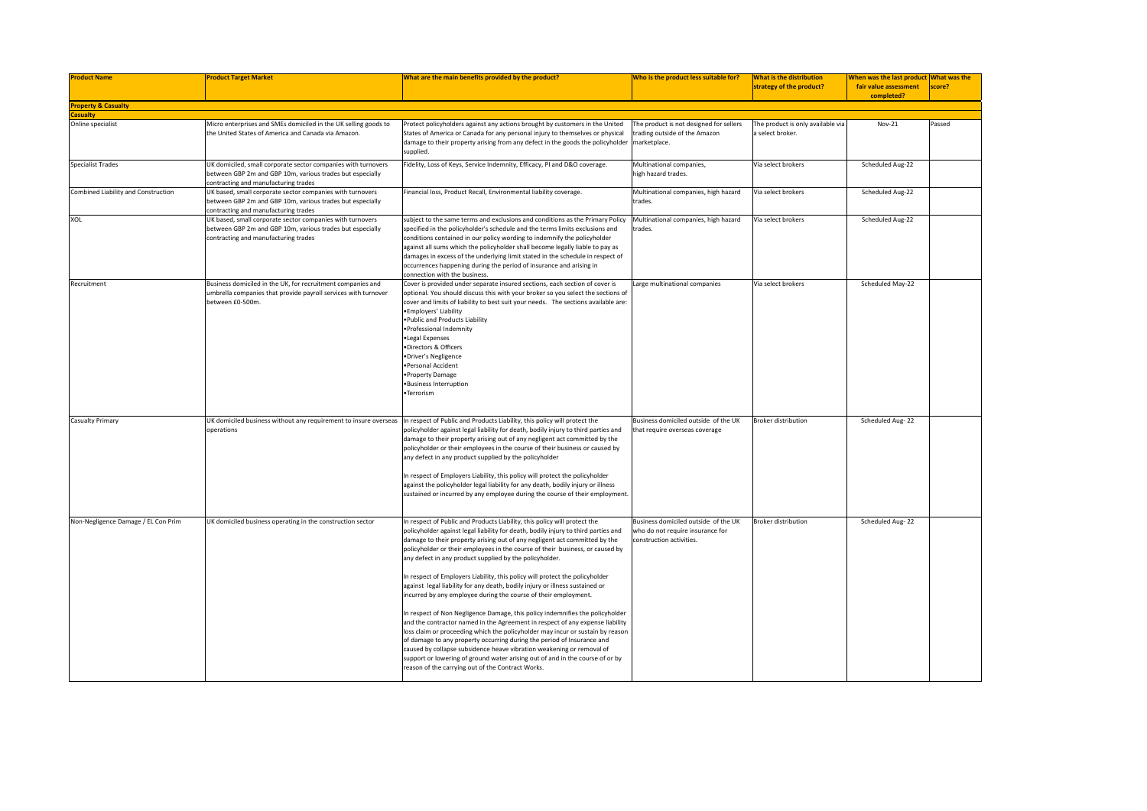| <b>Product Name</b>                  | <b>Product Target Market</b>                                                                                                                                       | What are the main benefits provided by the product?                                                                                                                                                                                                                                                                                                                                                                                                                                                                                                                                                                                                                                                                                                                                                                                                                                                                                                                                                                                                                                                                                                                       | Who is the product less suitable for?                                                                | <b>What is the distribution</b><br>strategy of the product? | When was the last product What was the<br>fair value assessment<br>completed? | score? |
|--------------------------------------|--------------------------------------------------------------------------------------------------------------------------------------------------------------------|---------------------------------------------------------------------------------------------------------------------------------------------------------------------------------------------------------------------------------------------------------------------------------------------------------------------------------------------------------------------------------------------------------------------------------------------------------------------------------------------------------------------------------------------------------------------------------------------------------------------------------------------------------------------------------------------------------------------------------------------------------------------------------------------------------------------------------------------------------------------------------------------------------------------------------------------------------------------------------------------------------------------------------------------------------------------------------------------------------------------------------------------------------------------------|------------------------------------------------------------------------------------------------------|-------------------------------------------------------------|-------------------------------------------------------------------------------|--------|
| <b>Property &amp; Casualty</b>       |                                                                                                                                                                    |                                                                                                                                                                                                                                                                                                                                                                                                                                                                                                                                                                                                                                                                                                                                                                                                                                                                                                                                                                                                                                                                                                                                                                           |                                                                                                      |                                                             |                                                                               |        |
| <b>Casualty</b><br>Online specialist | Micro enterprises and SMEs domiciled in the UK selling goods to<br>the United States of America and Canada via Amazon.                                             | Protect policyholders against any actions brought by customers in the United<br>States of America or Canada for any personal injury to themselves or physical<br>damage to their property arising from any defect in the goods the policyholder marketplace.<br>supplied.                                                                                                                                                                                                                                                                                                                                                                                                                                                                                                                                                                                                                                                                                                                                                                                                                                                                                                 | The product is not designed for sellers<br>trading outside of the Amazon                             | The product is only available via<br>a select broker.       | Nov-21                                                                        | Passed |
| <b>Specialist Trades</b>             | UK domiciled, small corporate sector companies with turnovers<br>between GBP 2m and GBP 10m, various trades but especially<br>contracting and manufacturing trades | Fidelity, Loss of Keys, Service Indemnity, Efficacy, PI and D&O coverage.                                                                                                                                                                                                                                                                                                                                                                                                                                                                                                                                                                                                                                                                                                                                                                                                                                                                                                                                                                                                                                                                                                 | Multinational companies,<br>high hazard trades.                                                      | Via select brokers                                          | Scheduled Aug-22                                                              |        |
| Combined Liability and Construction  | UK based, small corporate sector companies with turnovers<br>between GBP 2m and GBP 10m, various trades but especially<br>contracting and manufacturing trades     | Financial loss, Product Recall, Environmental liability coverage.                                                                                                                                                                                                                                                                                                                                                                                                                                                                                                                                                                                                                                                                                                                                                                                                                                                                                                                                                                                                                                                                                                         | Multinational companies, high hazard<br>trades.                                                      | Via select brokers                                          | Scheduled Aug-22                                                              |        |
| XOL                                  | UK based, small corporate sector companies with turnovers<br>between GBP 2m and GBP 10m, various trades but especially<br>contracting and manufacturing trades     | subject to the same terms and exclusions and conditions as the Primary Policy<br>specified in the policyholder's schedule and the terms limits exclusions and<br>conditions contained in our policy wording to indemnify the policyholder<br>against all sums which the policyholder shall become legally liable to pay as<br>damages in excess of the underlying limit stated in the schedule in respect of<br>occurrences happening during the period of insurance and arising in<br>connection with the business.                                                                                                                                                                                                                                                                                                                                                                                                                                                                                                                                                                                                                                                      | Multinational companies, high hazard<br>trades.                                                      | Via select brokers                                          | Scheduled Aug-22                                                              |        |
| Recruitment                          | Business domiciled in the UK, for recruitment companies and<br>umbrella companies that provide payroll services with turnover<br>between £0-500m.                  | Cover is provided under separate insured sections, each section of cover is<br>optional. You should discuss this with your broker so you select the sections of<br>cover and limits of liability to best suit your needs. The sections available are:<br>· Employers' Liability<br>. Public and Products Liability<br>· Professional Indemnity<br>·Legal Expenses<br>·Directors & Officers<br>·Driver's Negligence<br>·Personal Accident<br>· Property Damage<br>· Business Interruption<br>•Terrorism                                                                                                                                                                                                                                                                                                                                                                                                                                                                                                                                                                                                                                                                    | Large multinational companies                                                                        | Via select brokers                                          | Scheduled May-22                                                              |        |
| <b>Casualty Primary</b>              | operations                                                                                                                                                         | UK domiciled business without any requirement to insure overseas  In respect of Public and Products Liability, this policy will protect the<br>policyholder against legal liability for death, bodily injury to third parties and<br>damage to their property arising out of any negligent act committed by the<br>policyholder or their employees in the course of their business or caused by<br>any defect in any product supplied by the policyholder<br>In respect of Employers Liability, this policy will protect the policyholder<br>against the policyholder legal liability for any death, bodily injury or illness<br>sustained or incurred by any employee during the course of their employment.                                                                                                                                                                                                                                                                                                                                                                                                                                                             | Business domiciled outside of the UK<br>that require overseas coverage                               | <b>Broker distribution</b>                                  | Scheduled Aug-22                                                              |        |
| Non-Negligence Damage / EL Con Prim  | UK domiciled business operating in the construction sector                                                                                                         | In respect of Public and Products Liability, this policy will protect the<br>policyholder against legal liability for death, bodily injury to third parties and<br>damage to their property arising out of any negligent act committed by the<br>policyholder or their employees in the course of their business, or caused by<br>any defect in any product supplied by the policyholder.<br>In respect of Employers Liability, this policy will protect the policyholder<br>against legal liability for any death, bodily injury or illness sustained or<br>incurred by any employee during the course of their employment.<br>In respect of Non Negligence Damage, this policy indemnifies the policyholder<br>and the contractor named in the Agreement in respect of any expense liability<br>loss claim or proceeding which the policyholder may incur or sustain by reason<br>of damage to any property occurring during the period of Insurance and<br>caused by collapse subsidence heave vibration weakening or removal of<br>support or lowering of ground water arising out of and in the course of or by<br>reason of the carrying out of the Contract Works. | Business domiciled outside of the UK<br>who do not require insurance for<br>construction activities. | <b>Broker distribution</b>                                  | Scheduled Aug-22                                                              |        |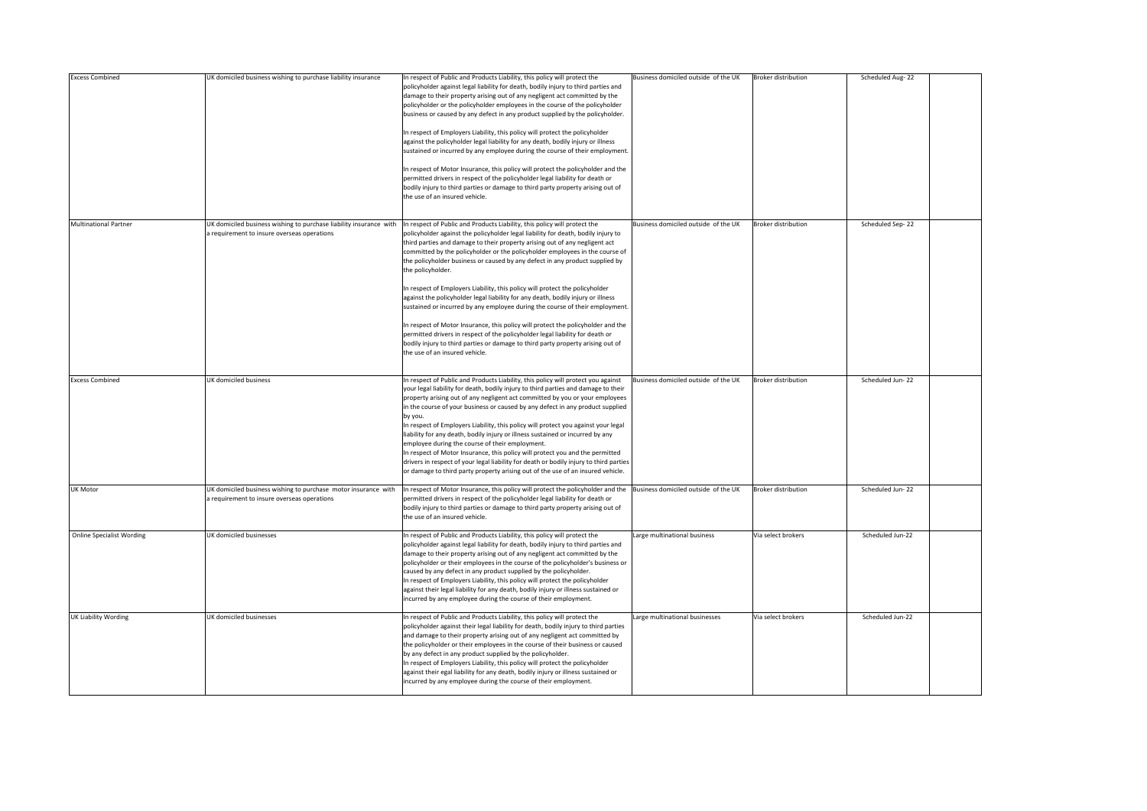| <b>Excess Combined</b>           | UK domiciled business wishing to purchase liability insurance                                                     | In respect of Public and Products Liability, this policy will protect the<br>policyholder against legal liability for death, bodily injury to third parties and<br>damage to their property arising out of any negligent act committed by the<br>policyholder or the policyholder employees in the course of the policyholder<br>business or caused by any defect in any product supplied by the policyholder.<br>In respect of Employers Liability, this policy will protect the policyholder<br>against the policyholder legal liability for any death, bodily injury or illness<br>sustained or incurred by any employee during the course of their employment.<br>In respect of Motor Insurance, this policy will protect the policyholder and the<br>permitted drivers in respect of the policyholder legal liability for death or<br>bodily injury to third parties or damage to third party property arising out of<br>the use of an insured vehicle.                     | Business domiciled outside of the UK | <b>Broker distribution</b> | Scheduled Aug-22 |  |
|----------------------------------|-------------------------------------------------------------------------------------------------------------------|----------------------------------------------------------------------------------------------------------------------------------------------------------------------------------------------------------------------------------------------------------------------------------------------------------------------------------------------------------------------------------------------------------------------------------------------------------------------------------------------------------------------------------------------------------------------------------------------------------------------------------------------------------------------------------------------------------------------------------------------------------------------------------------------------------------------------------------------------------------------------------------------------------------------------------------------------------------------------------|--------------------------------------|----------------------------|------------------|--|
| <b>Multinational Partner</b>     | UK domiciled business wishing to purchase liability insurance with<br>a requirement to insure overseas operations | In respect of Public and Products Liability, this policy will protect the<br>policyholder against the policyholder legal liability for death, bodily injury to<br>third parties and damage to their property arising out of any negligent act<br>committed by the policyholder or the policyholder employees in the course of<br>the policyholder business or caused by any defect in any product supplied by<br>the policyholder.<br>In respect of Employers Liability, this policy will protect the policyholder<br>against the policyholder legal liability for any death, bodily injury or illness<br>sustained or incurred by any employee during the course of their employment.<br>In respect of Motor Insurance, this policy will protect the policyholder and the<br>permitted drivers in respect of the policyholder legal liability for death or<br>bodily injury to third parties or damage to third party property arising out of<br>the use of an insured vehicle. | Business domiciled outside of the UK | <b>Broker distribution</b> | Scheduled Sep-22 |  |
| <b>Excess Combined</b>           | <b>UK domiciled business</b>                                                                                      | In respect of Public and Products Liability, this policy will protect you against<br>your legal liability for death, bodily injury to third parties and damage to their<br>property arising out of any negligent act committed by you or your employees<br>in the course of your business or caused by any defect in any product supplied<br>by you.<br>In respect of Employers Liability, this policy will protect you against your legal<br>liability for any death, bodily injury or illness sustained or incurred by any<br>employee during the course of their employment.<br>In respect of Motor Insurance, this policy will protect you and the permitted<br>drivers in respect of your legal liability for death or bodily injury to third parties<br>or damage to third party property arising out of the use of an insured vehicle.                                                                                                                                    | Business domiciled outside of the UK | <b>Broker distribution</b> | Scheduled Jun-22 |  |
| <b>UK Motor</b>                  | UK domiciled business wishing to purchase motor insurance with<br>a requirement to insure overseas operations     | In respect of Motor Insurance, this policy will protect the policyholder and the Business domiciled outside of the UK<br>permitted drivers in respect of the policyholder legal liability for death or<br>bodily injury to third parties or damage to third party property arising out of<br>the use of an insured vehicle.                                                                                                                                                                                                                                                                                                                                                                                                                                                                                                                                                                                                                                                      |                                      | <b>Broker distribution</b> | Scheduled Jun-22 |  |
| <b>Online Specialist Wording</b> | <b>UK domiciled businesses</b>                                                                                    | In respect of Public and Products Liability, this policy will protect the<br>policyholder against legal liability for death, bodily injury to third parties and<br>damage to their property arising out of any negligent act committed by the<br>policyholder or their employees in the course of the policyholder's business or<br>caused by any defect in any product supplied by the policyholder.<br>In respect of Employers Liability, this policy will protect the policyholder<br>against their legal liability for any death, bodily injury or illness sustained or<br>incurred by any employee during the course of their employment.                                                                                                                                                                                                                                                                                                                                   | Large multinational business         | Via select brokers         | Scheduled Jun-22 |  |
| <b>UK Liability Wording</b>      | UK domiciled businesses                                                                                           | In respect of Public and Products Liability, this policy will protect the<br>policyholder against their legal liability for death, bodily injury to third parties<br>and damage to their property arising out of any negligent act committed by<br>the policyholder or their employees in the course of their business or caused<br>by any defect in any product supplied by the policyholder.<br>In respect of Employers Liability, this policy will protect the policyholder<br>against their egal liability for any death, bodily injury or illness sustained or<br>incurred by any employee during the course of their employment.                                                                                                                                                                                                                                                                                                                                           | Large multinational businesses       | Via select brokers         | Scheduled Jun-22 |  |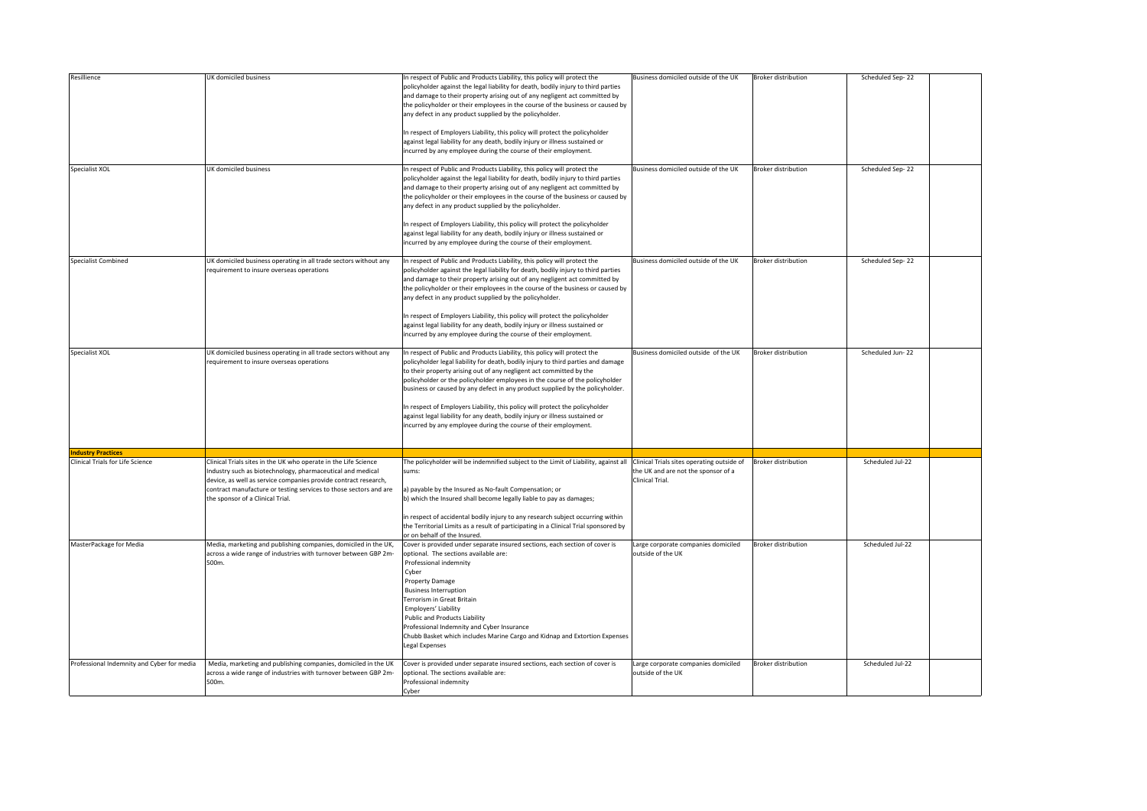| Resillience                                | UK domiciled business                                                                                                                                                                                                                                                                                     | In respect of Public and Products Liability, this policy will protect the<br>policyholder against the legal liability for death, bodily injury to third parties<br>and damage to their property arising out of any negligent act committed by<br>the policyholder or their employees in the course of the business or caused by<br>any defect in any product supplied by the policyholder.                                                                                                                                                                                                                                                | Business domiciled outside of the UK                                                                 | <b>Broker distribution</b> | Scheduled Sep-22 |  |
|--------------------------------------------|-----------------------------------------------------------------------------------------------------------------------------------------------------------------------------------------------------------------------------------------------------------------------------------------------------------|-------------------------------------------------------------------------------------------------------------------------------------------------------------------------------------------------------------------------------------------------------------------------------------------------------------------------------------------------------------------------------------------------------------------------------------------------------------------------------------------------------------------------------------------------------------------------------------------------------------------------------------------|------------------------------------------------------------------------------------------------------|----------------------------|------------------|--|
|                                            |                                                                                                                                                                                                                                                                                                           | In respect of Employers Liability, this policy will protect the policyholder<br>against legal liability for any death, bodily injury or illness sustained or<br>incurred by any employee during the course of their employment.                                                                                                                                                                                                                                                                                                                                                                                                           |                                                                                                      |                            |                  |  |
| Specialist XOL                             | UK domiciled business                                                                                                                                                                                                                                                                                     | In respect of Public and Products Liability, this policy will protect the<br>policyholder against the legal liability for death, bodily injury to third parties<br>and damage to their property arising out of any negligent act committed by<br>the policyholder or their employees in the course of the business or caused by<br>any defect in any product supplied by the policyholder.<br>In respect of Employers Liability, this policy will protect the policyholder<br>against legal liability for any death, bodily injury or illness sustained or<br>incurred by any employee during the course of their employment.             | Business domiciled outside of the UK                                                                 | <b>Broker distribution</b> | Scheduled Sep-22 |  |
| Specialist Combined                        | UK domiciled business operating in all trade sectors without any<br>requirement to insure overseas operations                                                                                                                                                                                             | In respect of Public and Products Liability, this policy will protect the<br>policyholder against the legal liability for death, bodily injury to third parties<br>and damage to their property arising out of any negligent act committed by<br>the policyholder or their employees in the course of the business or caused by<br>any defect in any product supplied by the policyholder.<br>In respect of Employers Liability, this policy will protect the policyholder<br>against legal liability for any death, bodily injury or illness sustained or<br>incurred by any employee during the course of their employment.             | Business domiciled outside of the UK                                                                 | <b>Broker distribution</b> | Scheduled Sep-22 |  |
| Specialist XOL                             | UK domiciled business operating in all trade sectors without any<br>requirement to insure overseas operations                                                                                                                                                                                             | In respect of Public and Products Liability, this policy will protect the<br>policyholder legal liability for death, bodily injury to third parties and damage<br>to their property arising out of any negligent act committed by the<br>policyholder or the policyholder employees in the course of the policyholder<br>business or caused by any defect in any product supplied by the policyholder.<br>In respect of Employers Liability, this policy will protect the policyholder<br>against legal liability for any death, bodily injury or illness sustained or<br>incurred by any employee during the course of their employment. | Business domiciled outside of the UK                                                                 | <b>Broker distribution</b> | Scheduled Jun-22 |  |
| <b>Industry Practices</b>                  |                                                                                                                                                                                                                                                                                                           |                                                                                                                                                                                                                                                                                                                                                                                                                                                                                                                                                                                                                                           |                                                                                                      |                            |                  |  |
| Clinical Trials for Life Science           | Clinical Trials sites in the UK who operate in the Life Science<br>Industry such as biotechnology, pharmaceutical and medical<br>device, as well as service companies provide contract research,<br>contract manufacture or testing services to those sectors and are<br>the sponsor of a Clinical Trial. | The policyholder will be indemnified subject to the Limit of Liability, against all<br>sums:<br>a) payable by the Insured as No-fault Compensation; or<br>b) which the Insured shall become legally liable to pay as damages;<br>in respect of accidental bodily injury to any research subject occurring within<br>the Territorial Limits as a result of participating in a Clinical Trial sponsored by<br>or on behalf of the Insured.                                                                                                                                                                                                  | Clinical Trials sites operating outside of<br>the UK and are not the sponsor of a<br>Clinical Trial. | <b>Broker distribution</b> | Scheduled Jul-22 |  |
| MasterPackage for Media                    | Media, marketing and publishing companies, domiciled in the UK,<br>across a wide range of industries with turnover between GBP 2m-<br>500m.                                                                                                                                                               | Cover is provided under separate insured sections, each section of cover is<br>optional. The sections available are:<br>Professional indemnity<br>Cyber<br><b>Property Damage</b><br><b>Business Interruption</b><br>Terrorism in Great Britain<br>Employers' Liability<br>Public and Products Liability<br>Professional Indemnity and Cyber Insurance<br>Chubb Basket which includes Marine Cargo and Kidnap and Extortion Expenses<br><b>Legal Expenses</b>                                                                                                                                                                             | Large corporate companies domiciled<br>outside of the UK                                             | <b>Broker distribution</b> | Scheduled Jul-22 |  |
| Professional Indemnity and Cyber for media | Media, marketing and publishing companies, domiciled in the UK<br>across a wide range of industries with turnover between GBP 2m-<br>500m.                                                                                                                                                                | Cover is provided under separate insured sections, each section of cover is<br>optional. The sections available are:<br>Professional indemnity<br>Cyber                                                                                                                                                                                                                                                                                                                                                                                                                                                                                   | Large corporate companies domiciled<br>outside of the UK                                             | <b>Broker distribution</b> | Scheduled Jul-22 |  |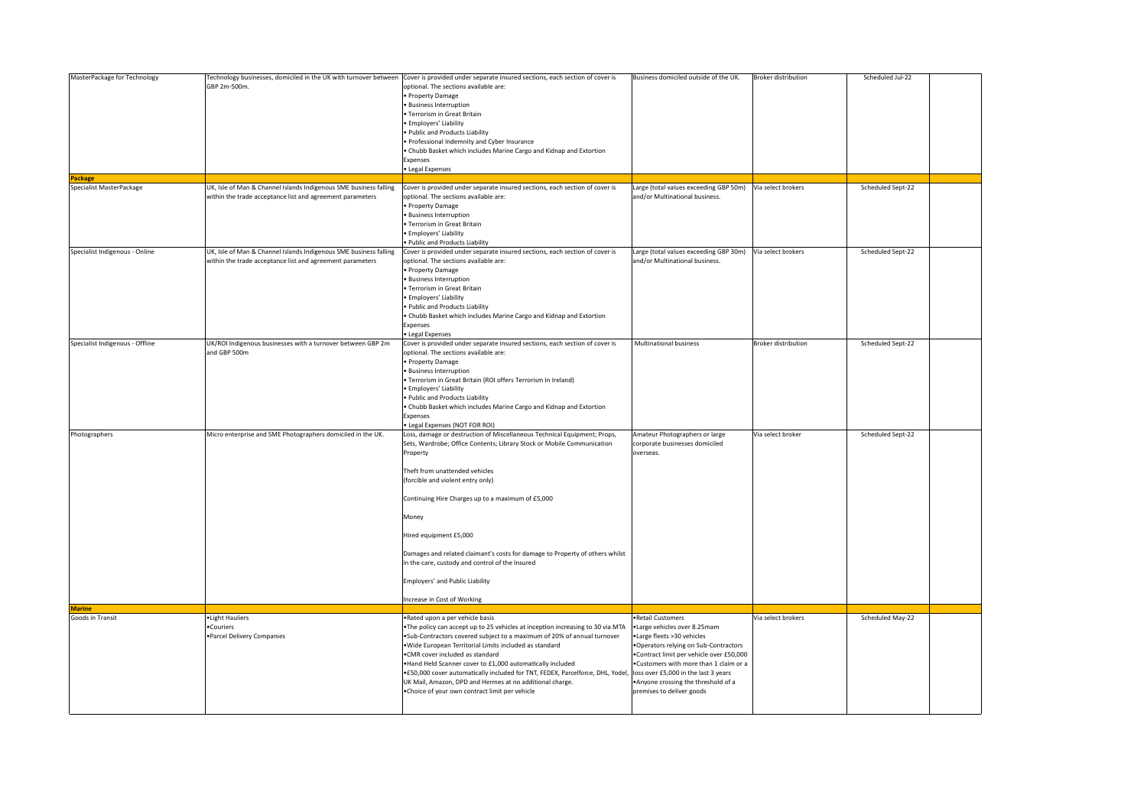| MasterPackage for Technology    | Technology businesses, domiciled in the UK with turnover between  | Cover is provided under separate insured sections, each section of cover is     | Business domiciled outside of the UK.                     | <b>Broker distribution</b> | Scheduled Jul-22  |  |
|---------------------------------|-------------------------------------------------------------------|---------------------------------------------------------------------------------|-----------------------------------------------------------|----------------------------|-------------------|--|
|                                 | GBP 2m-500m.                                                      | optional. The sections available are:                                           |                                                           |                            |                   |  |
|                                 |                                                                   |                                                                                 |                                                           |                            |                   |  |
|                                 |                                                                   | • Property Damage                                                               |                                                           |                            |                   |  |
|                                 |                                                                   | <b>Business Interruption</b>                                                    |                                                           |                            |                   |  |
|                                 |                                                                   | Terrorism in Great Britain                                                      |                                                           |                            |                   |  |
|                                 |                                                                   | Employers' Liability                                                            |                                                           |                            |                   |  |
|                                 |                                                                   |                                                                                 |                                                           |                            |                   |  |
|                                 |                                                                   | Public and Products Liability                                                   |                                                           |                            |                   |  |
|                                 |                                                                   | · Professional Indemnity and Cyber Insurance                                    |                                                           |                            |                   |  |
|                                 |                                                                   | . Chubb Basket which includes Marine Cargo and Kidnap and Extortion             |                                                           |                            |                   |  |
|                                 |                                                                   | Expenses                                                                        |                                                           |                            |                   |  |
|                                 |                                                                   | · Legal Expenses                                                                |                                                           |                            |                   |  |
|                                 |                                                                   |                                                                                 |                                                           |                            |                   |  |
| Package                         |                                                                   |                                                                                 |                                                           |                            |                   |  |
| Specialist MasterPackage        | UK, Isle of Man & Channel Islands Indigenous SME business falling | Cover is provided under separate insured sections, each section of cover is     | Large (total values exceeding GBP 50m)                    | Via select brokers         | Scheduled Sept-22 |  |
|                                 | within the trade acceptance list and agreement parameters         | optional. The sections available are:                                           | and/or Multinational business.                            |                            |                   |  |
|                                 |                                                                   | · Property Damage                                                               |                                                           |                            |                   |  |
|                                 |                                                                   | · Business Interruption                                                         |                                                           |                            |                   |  |
|                                 |                                                                   | Terrorism in Great Britain                                                      |                                                           |                            |                   |  |
|                                 |                                                                   |                                                                                 |                                                           |                            |                   |  |
|                                 |                                                                   | Employers' Liability                                                            |                                                           |                            |                   |  |
|                                 |                                                                   | Public and Products Liability                                                   |                                                           |                            |                   |  |
| Specialist Indigenous - Online  | UK, Isle of Man & Channel Islands Indigenous SME business falling | Cover is provided under separate insured sections, each section of cover is     | Large (total values exceeding GBP 30m) Via select brokers |                            | Scheduled Sept-22 |  |
|                                 |                                                                   |                                                                                 |                                                           |                            |                   |  |
|                                 | within the trade acceptance list and agreement parameters         | optional. The sections available are:                                           | and/or Multinational business.                            |                            |                   |  |
|                                 |                                                                   | · Property Damage                                                               |                                                           |                            |                   |  |
|                                 |                                                                   | · Business Interruption                                                         |                                                           |                            |                   |  |
|                                 |                                                                   | · Terrorism in Great Britain                                                    |                                                           |                            |                   |  |
|                                 |                                                                   | · Employers' Liability                                                          |                                                           |                            |                   |  |
|                                 |                                                                   |                                                                                 |                                                           |                            |                   |  |
|                                 |                                                                   | Public and Products Liability                                                   |                                                           |                            |                   |  |
|                                 |                                                                   | Chubb Basket which includes Marine Cargo and Kidnap and Extortion               |                                                           |                            |                   |  |
|                                 |                                                                   | Expenses                                                                        |                                                           |                            |                   |  |
|                                 |                                                                   | · Legal Expenses                                                                |                                                           |                            |                   |  |
|                                 |                                                                   |                                                                                 |                                                           |                            |                   |  |
| Specialist Indigenous - Offline | UK/ROI Indigenous businesses with a turnover between GBP 2m       | Cover is provided under separate insured sections, each section of cover is     | Multinational business                                    | <b>Broker distribution</b> | Scheduled Sept-22 |  |
|                                 | and GBP 500m                                                      | optional. The sections available are:                                           |                                                           |                            |                   |  |
|                                 |                                                                   | Property Damage                                                                 |                                                           |                            |                   |  |
|                                 |                                                                   | <b>Business Interruption</b>                                                    |                                                           |                            |                   |  |
|                                 |                                                                   |                                                                                 |                                                           |                            |                   |  |
|                                 |                                                                   | Terrorism in Great Britain (ROI offers Terrorism In Ireland)                    |                                                           |                            |                   |  |
|                                 |                                                                   | · Employers' Liability                                                          |                                                           |                            |                   |  |
|                                 |                                                                   | · Public and Products Liability                                                 |                                                           |                            |                   |  |
|                                 |                                                                   | . Chubb Basket which includes Marine Cargo and Kidnap and Extortion             |                                                           |                            |                   |  |
|                                 |                                                                   |                                                                                 |                                                           |                            |                   |  |
|                                 |                                                                   | Expenses                                                                        |                                                           |                            |                   |  |
|                                 |                                                                   | · Legal Expenses (NOT FOR ROI)                                                  |                                                           |                            |                   |  |
| Photographers                   | Micro enterprise and SME Photographers domiciled in the UK.       | Loss, damage or destruction of Miscellaneous Technical Equipment; Props,        | Amateur Photographers or large                            | Via select broker          | Scheduled Sept-22 |  |
|                                 |                                                                   | Sets, Wardrobe; Office Contents; Library Stock or Mobile Communication          | corporate businesses domiciled                            |                            |                   |  |
|                                 |                                                                   | Property                                                                        | overseas.                                                 |                            |                   |  |
|                                 |                                                                   |                                                                                 |                                                           |                            |                   |  |
|                                 |                                                                   |                                                                                 |                                                           |                            |                   |  |
|                                 |                                                                   | Theft from unattended vehicles                                                  |                                                           |                            |                   |  |
|                                 |                                                                   | (forcible and violent entry only)                                               |                                                           |                            |                   |  |
|                                 |                                                                   |                                                                                 |                                                           |                            |                   |  |
|                                 |                                                                   |                                                                                 |                                                           |                            |                   |  |
|                                 |                                                                   | Continuing Hire Charges up to a maximum of £5,000                               |                                                           |                            |                   |  |
|                                 |                                                                   |                                                                                 |                                                           |                            |                   |  |
|                                 |                                                                   | Money                                                                           |                                                           |                            |                   |  |
|                                 |                                                                   |                                                                                 |                                                           |                            |                   |  |
|                                 |                                                                   |                                                                                 |                                                           |                            |                   |  |
|                                 |                                                                   | Hired equipment £5,000                                                          |                                                           |                            |                   |  |
|                                 |                                                                   |                                                                                 |                                                           |                            |                   |  |
|                                 |                                                                   | Damages and related claimant's costs for damage to Property of others whilst    |                                                           |                            |                   |  |
|                                 |                                                                   | in the care, custody and control of the Insured                                 |                                                           |                            |                   |  |
|                                 |                                                                   |                                                                                 |                                                           |                            |                   |  |
|                                 |                                                                   |                                                                                 |                                                           |                            |                   |  |
|                                 |                                                                   | Employers' and Public Liability                                                 |                                                           |                            |                   |  |
|                                 |                                                                   |                                                                                 |                                                           |                            |                   |  |
|                                 |                                                                   | Increase in Cost of Working                                                     |                                                           |                            |                   |  |
| <b>Marine</b>                   |                                                                   |                                                                                 |                                                           |                            |                   |  |
|                                 |                                                                   |                                                                                 |                                                           |                            |                   |  |
| Goods in Transit                | ·Light Hauliers                                                   | ·Rated upon a per vehicle basis                                                 | ·Retail Customers                                         | Via select brokers         | Scheduled May-22  |  |
|                                 | •Couriers                                                         | . The policy can accept up to 25 vehicles at inception increasing to 30 via MTA | ·Large vehicles over 8.25mam                              |                            |                   |  |
|                                 | .Parcel Delivery Companies                                        | .Sub-Contractors covered subject to a maximum of 20% of annual turnover         | •Large fleets >30 vehicles                                |                            |                   |  |
|                                 |                                                                   | . Wide European Territorial Limits included as standard                         | .Operators relying on Sub-Contractors                     |                            |                   |  |
|                                 |                                                                   |                                                                                 |                                                           |                            |                   |  |
|                                 |                                                                   | .CMR cover included as standard                                                 | .Contract limit per vehicle over £50,000                  |                            |                   |  |
|                                 |                                                                   | . Hand Held Scanner cover to £1,000 automatically included                      | .Customers with more than 1 claim or a                    |                            |                   |  |
|                                 |                                                                   | .£50,000 cover automatically included for TNT, FEDEX, Parcelforce, DHL, Yodel,  | loss over £5,000 in the last 3 years                      |                            |                   |  |
|                                 |                                                                   | UK Mail, Amazon, DPD and Hermes at no additional charge.                        | . Anyone crossing the threshold of a                      |                            |                   |  |
|                                 |                                                                   |                                                                                 | premises to deliver goods                                 |                            |                   |  |
|                                 |                                                                   | . Choice of your own contract limit per vehicle                                 |                                                           |                            |                   |  |
|                                 |                                                                   |                                                                                 |                                                           |                            |                   |  |
|                                 |                                                                   |                                                                                 |                                                           |                            |                   |  |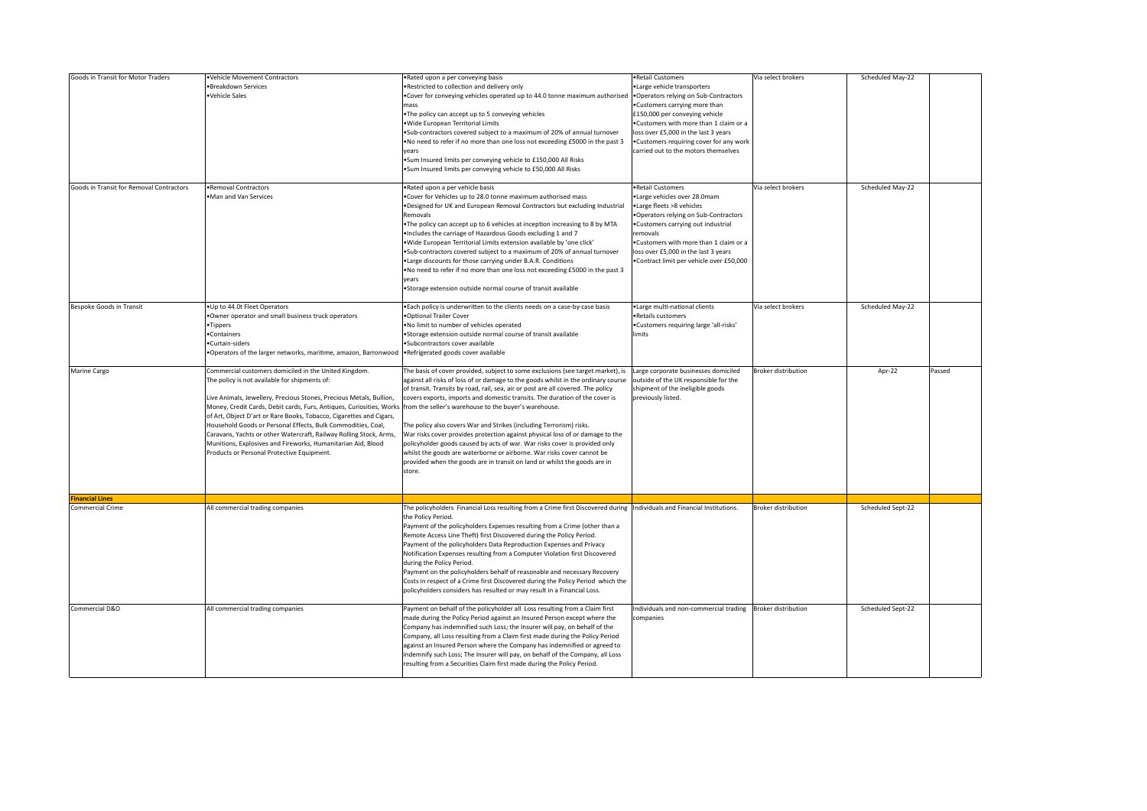| Goods in Transit for Motor Traders         | ·Vehicle Movement Contractors<br>·Breakdown Services<br>Vehicle Sales                                                                                                                                                                                                                                                                                                                                                                                                                                                                                                            | . Rated upon a per conveying basis<br>. Restricted to collection and delivery only<br>. Cover for conveying vehicles operated up to 44.0 tonne maximum authorised<br>mass<br>. The policy can accept up to 5 conveying vehicles<br>· Wide European Territorial Limits<br>. Sub-contractors covered subject to a maximum of 20% of annual turnover<br>. No need to refer if no more than one loss not exceeding £5000 in the past 3<br>vears<br>.Sum Insured limits per conveying vehicle to £150,000 All Risks<br>.Sum Insured limits per conveying vehicle to £50,000 All Risks                                                                                                                                                                                                                        | .Retail Customers<br>·Large vehicle transporters<br>.Operators relying on Sub-Contractors<br>.Customers carrying more than<br>£150,000 per conveying vehicle<br>.Customers with more than 1 claim or a<br>loss over £5,000 in the last 3 years<br>.Customers requiring cover for any work<br>carried out to the motors themselves | Via select brokers         | Scheduled May-22  |        |
|--------------------------------------------|----------------------------------------------------------------------------------------------------------------------------------------------------------------------------------------------------------------------------------------------------------------------------------------------------------------------------------------------------------------------------------------------------------------------------------------------------------------------------------------------------------------------------------------------------------------------------------|---------------------------------------------------------------------------------------------------------------------------------------------------------------------------------------------------------------------------------------------------------------------------------------------------------------------------------------------------------------------------------------------------------------------------------------------------------------------------------------------------------------------------------------------------------------------------------------------------------------------------------------------------------------------------------------------------------------------------------------------------------------------------------------------------------|-----------------------------------------------------------------------------------------------------------------------------------------------------------------------------------------------------------------------------------------------------------------------------------------------------------------------------------|----------------------------|-------------------|--------|
| Goods in Transit for Removal Contractors   | ·Removal Contractors<br>.Man and Van Services                                                                                                                                                                                                                                                                                                                                                                                                                                                                                                                                    | .Rated upon a per vehicle basis<br>. Cover for Vehicles up to 28.0 tonne maximum authorised mass<br>. Designed for UK and European Removal Contractors but excluding Industrial<br>Removals<br>. The policy can accept up to 6 vehicles at inception increasing to 8 by MTA<br>. Includes the carriage of Hazardous Goods excluding 1 and 7<br>. Wide European Territorial Limits extension available by 'one click'<br>. Sub-contractors covered subject to a maximum of 20% of annual turnover<br>. Large discounts for those carrying under B.A.R. Conditions<br>. No need to refer if no more than one loss not exceeding £5000 in the past 3<br>years<br>. Storage extension outside normal course of transit available                                                                            | •Retail Customers<br>·Large vehicles over 28.0mam<br>.Large fleets >8 vehicles<br>.Operators relying on Sub-Contractors<br>.Customers carrying out industrial<br>removals<br>.Customers with more than 1 claim or a<br>loss over £5,000 in the last 3 years<br>.Contract limit per vehicle over £50,000                           | Via select brokers         | Scheduled May-22  |        |
| Bespoke Goods in Transit                   | .Up to 44.0t Fleet Operators<br>.Owner operator and small business truck operators<br>·Tippers<br>•Containers<br>•Curtain-siders<br>•Operators of the larger networks, maritime, amazon, Barronwood   • Refrigerated goods cover available                                                                                                                                                                                                                                                                                                                                       | . Each policy is underwritten to the clients needs on a case-by-case basis<br>. Optional Trailer Cover<br>. No limit to number of vehicles operated<br>·Storage extension outside normal course of transit available<br>·Subcontractors cover available                                                                                                                                                                                                                                                                                                                                                                                                                                                                                                                                                 | ·Large multi-national clients<br>•Retails customers<br>.Customers requiring large 'all-risks'<br>limits                                                                                                                                                                                                                           | Via select brokers         | Scheduled May-22  |        |
| Marine Cargo                               | Commercial customers domiciled in the United Kingdom.<br>The policy is not available for shipments of:<br>Live Animals, Jewellery, Precious Stones, Precious Metals, Bullion,<br>Money, Credit Cards, Debit cards, Furs, Antiques, Curiosities, Works<br>of Art, Object D'art or Rare Books, Tobacco, Cigarettes and Cigars,<br>Household Goods or Personal Effects, Bulk Commodities, Coal,<br>Caravans, Yachts or other Watercraft, Railway Rolling Stock, Arms,<br>Munitions, Explosives and Fireworks, Humanitarian Aid, Blood<br>Products or Personal Protective Equipment. | The basis of cover provided, subject to some exclusions (see target market), is<br>against all risks of loss of or damage to the goods whilst in the ordinary course<br>of transit. Transits by road, rail, sea, air or post are all covered. The policy<br>covers exports, imports and domestic transits. The duration of the cover is<br>from the seller's warehouse to the buyer's warehouse.<br>The policy also covers War and Strikes (including Terrorism) risks.<br>War risks cover provides protection against physical loss of or damage to the<br>policyholder goods caused by acts of war. War risks cover is provided only<br>whilst the goods are waterborne or airborne. War risks cover cannot be<br>provided when the goods are in transit on land or whilst the goods are in<br>store. | Large corporate businesses domiciled<br>outside of the UK responsible for the<br>shipment of the ineligible goods<br>previously listed.                                                                                                                                                                                           | <b>Broker distribution</b> | Apr-22            | Passed |
|                                            |                                                                                                                                                                                                                                                                                                                                                                                                                                                                                                                                                                                  |                                                                                                                                                                                                                                                                                                                                                                                                                                                                                                                                                                                                                                                                                                                                                                                                         |                                                                                                                                                                                                                                                                                                                                   |                            |                   |        |
| <b>Financial Lines</b><br>Commercial Crime | All commercial trading companies                                                                                                                                                                                                                                                                                                                                                                                                                                                                                                                                                 | The policyholders Financial Loss resulting from a Crime first Discovered during<br>the Policy Period.<br>Payment of the policyholders Expenses resulting from a Crime (other than a<br>Remote Access Line Theft) first Discovered during the Policy Period.<br>Payment of the policyholders Data Reproduction Expenses and Privacy<br>Notification Expenses resulting from a Computer Violation first Discovered<br>during the Policy Period.<br>Payment on the policyholders behalf of reasonable and necessary Recovery<br>Costs in respect of a Crime first Discovered during the Policy Period which the<br>policyholders considers has resulted or may result in a Financial Loss.                                                                                                                 | Individuals and Financial Institutions.                                                                                                                                                                                                                                                                                           | <b>Broker distribution</b> | Scheduled Sept-22 |        |
| Commercial D&O                             | All commercial trading companies                                                                                                                                                                                                                                                                                                                                                                                                                                                                                                                                                 | Payment on behalf of the policyholder all Loss resulting from a Claim first<br>made during the Policy Period against an Insured Person except where the<br>Company has indemnified such Loss; the Insurer will pay, on behalf of the<br>Company, all Loss resulting from a Claim first made during the Policy Period<br>against an Insured Person where the Company has indemnified or agreed to<br>indemnify such Loss; The Insurer will pay, on behalf of the Company, all Loss<br>resulting from a Securities Claim first made during the Policy Period.                                                                                                                                                                                                                                             | Individuals and non-commercial trading<br>companies                                                                                                                                                                                                                                                                               | <b>Broker distribution</b> | Scheduled Sept-22 |        |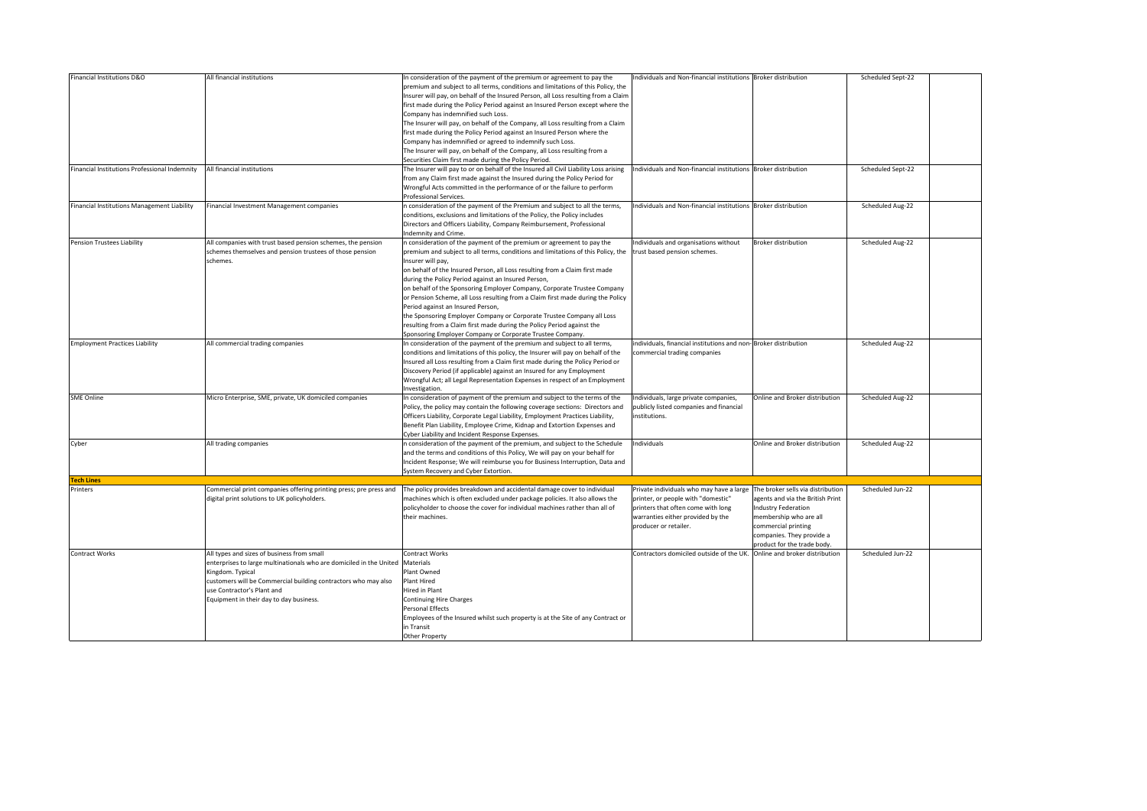| Financial Institutions D&O                    | All financial institutions                                          | In consideration of the payment of the premium or agreement to pay the               | Individuals and Non-financial institutions Broker distribution             |                                  | Scheduled Sept-22 |  |
|-----------------------------------------------|---------------------------------------------------------------------|--------------------------------------------------------------------------------------|----------------------------------------------------------------------------|----------------------------------|-------------------|--|
|                                               |                                                                     | premium and subject to all terms, conditions and limitations of this Policy, the     |                                                                            |                                  |                   |  |
|                                               |                                                                     | Insurer will pay, on behalf of the Insured Person, all Loss resulting from a Claim   |                                                                            |                                  |                   |  |
|                                               |                                                                     | first made during the Policy Period against an Insured Person except where the       |                                                                            |                                  |                   |  |
|                                               |                                                                     | Company has indemnified such Loss.                                                   |                                                                            |                                  |                   |  |
|                                               |                                                                     | The Insurer will pay, on behalf of the Company, all Loss resulting from a Claim      |                                                                            |                                  |                   |  |
|                                               |                                                                     | first made during the Policy Period against an Insured Person where the              |                                                                            |                                  |                   |  |
|                                               |                                                                     | Company has indemnified or agreed to indemnify such Loss.                            |                                                                            |                                  |                   |  |
|                                               |                                                                     |                                                                                      |                                                                            |                                  |                   |  |
|                                               |                                                                     | The Insurer will pay, on behalf of the Company, all Loss resulting from a            |                                                                            |                                  |                   |  |
|                                               |                                                                     | Securities Claim first made during the Policy Period.                                |                                                                            |                                  |                   |  |
| Financial Institutions Professional Indemnity | All financial institutions                                          | The Insurer will pay to or on behalf of the Insured all Civil Liability Loss arising | Individuals and Non-financial institutions Broker distribution             |                                  | Scheduled Sept-22 |  |
|                                               |                                                                     | from any Claim first made against the Insured during the Policy Period for           |                                                                            |                                  |                   |  |
|                                               |                                                                     | Wrongful Acts committed in the performance of or the failure to perform              |                                                                            |                                  |                   |  |
|                                               |                                                                     | Professional Services.                                                               |                                                                            |                                  |                   |  |
| Financial Institutions Management Liability   | Financial Investment Management companies                           | n consideration of the payment of the Premium and subject to all the terms,          | Individuals and Non-financial institutions Broker distribution             |                                  | Scheduled Aug-22  |  |
|                                               |                                                                     | conditions, exclusions and limitations of the Policy, the Policy includes            |                                                                            |                                  |                   |  |
|                                               |                                                                     | Directors and Officers Liability, Company Reimbursement, Professional                |                                                                            |                                  |                   |  |
|                                               |                                                                     | Indemnity and Crime.                                                                 |                                                                            |                                  |                   |  |
| <b>Pension Trustees Liability</b>             | All companies with trust based pension schemes, the pension         | n consideration of the payment of the premium or agreement to pay the                | Individuals and organisations without                                      | <b>Broker distribution</b>       | Scheduled Aug-22  |  |
|                                               | schemes themselves and pension trustees of those pension            | premium and subject to all terms, conditions and limitations of this Policy, the     | trust based pension schemes.                                               |                                  |                   |  |
|                                               | schemes.                                                            | Insurer will pay,                                                                    |                                                                            |                                  |                   |  |
|                                               |                                                                     | on behalf of the Insured Person, all Loss resulting from a Claim first made          |                                                                            |                                  |                   |  |
|                                               |                                                                     | during the Policy Period against an Insured Person,                                  |                                                                            |                                  |                   |  |
|                                               |                                                                     | on behalf of the Sponsoring Employer Company, Corporate Trustee Company              |                                                                            |                                  |                   |  |
|                                               |                                                                     | or Pension Scheme, all Loss resulting from a Claim first made during the Policy      |                                                                            |                                  |                   |  |
|                                               |                                                                     | Period against an Insured Person,                                                    |                                                                            |                                  |                   |  |
|                                               |                                                                     |                                                                                      |                                                                            |                                  |                   |  |
|                                               |                                                                     | the Sponsoring Employer Company or Corporate Trustee Company all Loss                |                                                                            |                                  |                   |  |
|                                               |                                                                     | resulting from a Claim first made during the Policy Period against the               |                                                                            |                                  |                   |  |
|                                               |                                                                     | Sponsoring Employer Company or Corporate Trustee Company.                            |                                                                            |                                  |                   |  |
| <b>Employment Practices Liability</b>         | All commercial trading companies                                    | In consideration of the payment of the premium and subject to all terms,             | individuals, financial institutions and non-Broker distribution            |                                  | Scheduled Aug-22  |  |
|                                               |                                                                     | conditions and limitations of this policy, the Insurer will pay on behalf of the     | commercial trading companies                                               |                                  |                   |  |
|                                               |                                                                     | Insured all Loss resulting from a Claim first made during the Policy Period or       |                                                                            |                                  |                   |  |
|                                               |                                                                     | Discovery Period (if applicable) against an Insured for any Employment               |                                                                            |                                  |                   |  |
|                                               |                                                                     | Wrongful Act; all Legal Representation Expenses in respect of an Employment          |                                                                            |                                  |                   |  |
|                                               |                                                                     | Investigation.                                                                       |                                                                            |                                  |                   |  |
| <b>SME Online</b>                             | Micro Enterprise, SME, private, UK domiciled companies              | In consideration of payment of the premium and subject to the terms of the           | Individuals, large private companies,                                      | Online and Broker distribution   | Scheduled Aug-22  |  |
|                                               |                                                                     | Policy, the policy may contain the following coverage sections: Directors and        | publicly listed companies and financial                                    |                                  |                   |  |
|                                               |                                                                     | Officers Liability, Corporate Legal Liability, Employment Practices Liability,       | institutions.                                                              |                                  |                   |  |
|                                               |                                                                     | Benefit Plan Liability, Employee Crime, Kidnap and Extortion Expenses and            |                                                                            |                                  |                   |  |
|                                               |                                                                     | Cyber Liability and Incident Response Expenses.                                      |                                                                            |                                  |                   |  |
| Cyber                                         | All trading companies                                               | n consideration of the payment of the premium, and subject to the Schedule           | Individuals                                                                | Online and Broker distribution   | Scheduled Aug-22  |  |
|                                               |                                                                     | and the terms and conditions of this Policy, We will pay on your behalf for          |                                                                            |                                  |                   |  |
|                                               |                                                                     |                                                                                      |                                                                            |                                  |                   |  |
|                                               |                                                                     | Incident Response; We will reimburse you for Business Interruption, Data and         |                                                                            |                                  |                   |  |
|                                               |                                                                     | System Recovery and Cyber Extortion.                                                 |                                                                            |                                  |                   |  |
| <b>Tech Lines</b>                             |                                                                     |                                                                                      |                                                                            |                                  |                   |  |
| Printers                                      | Commercial print companies offering printing press; pre press and   | The policy provides breakdown and accidental damage cover to individual              | Private individuals who may have a large The broker sells via distribution |                                  | Scheduled Jun-22  |  |
|                                               | digital print solutions to UK policyholders.                        | machines which is often excluded under package policies. It also allows the          | printer, or people with "domestic"                                         | agents and via the British Print |                   |  |
|                                               |                                                                     | policyholder to choose the cover for individual machines rather than all of          | printers that often come with long                                         | <b>Industry Federation</b>       |                   |  |
|                                               |                                                                     | their machines.                                                                      | warranties either provided by the                                          | membership who are all           |                   |  |
|                                               |                                                                     |                                                                                      | producer or retailer.                                                      | commercial printing              |                   |  |
|                                               |                                                                     |                                                                                      |                                                                            | companies. They provide a        |                   |  |
|                                               |                                                                     |                                                                                      |                                                                            | product for the trade body.      |                   |  |
| <b>Contract Works</b>                         | All types and sizes of business from small                          | Contract Works                                                                       | Contractors domiciled outside of the UK. Online and broker distribution    |                                  | Scheduled Jun-22  |  |
|                                               | enterprises to large multinationals who are domiciled in the United | Materials                                                                            |                                                                            |                                  |                   |  |
|                                               | Kingdom. Typical                                                    | Plant Owned                                                                          |                                                                            |                                  |                   |  |
|                                               | customers will be Commercial building contractors who may also      | Plant Hired                                                                          |                                                                            |                                  |                   |  |
|                                               | use Contractor's Plant and                                          | Hired in Plant                                                                       |                                                                            |                                  |                   |  |
|                                               |                                                                     |                                                                                      |                                                                            |                                  |                   |  |
|                                               | Equipment in their day to day business.                             | <b>Continuing Hire Charges</b>                                                       |                                                                            |                                  |                   |  |
|                                               |                                                                     | Personal Effects                                                                     |                                                                            |                                  |                   |  |
|                                               |                                                                     | Employees of the Insured whilst such property is at the Site of any Contract or      |                                                                            |                                  |                   |  |
|                                               |                                                                     | in Transit                                                                           |                                                                            |                                  |                   |  |
|                                               |                                                                     | Other Property                                                                       |                                                                            |                                  |                   |  |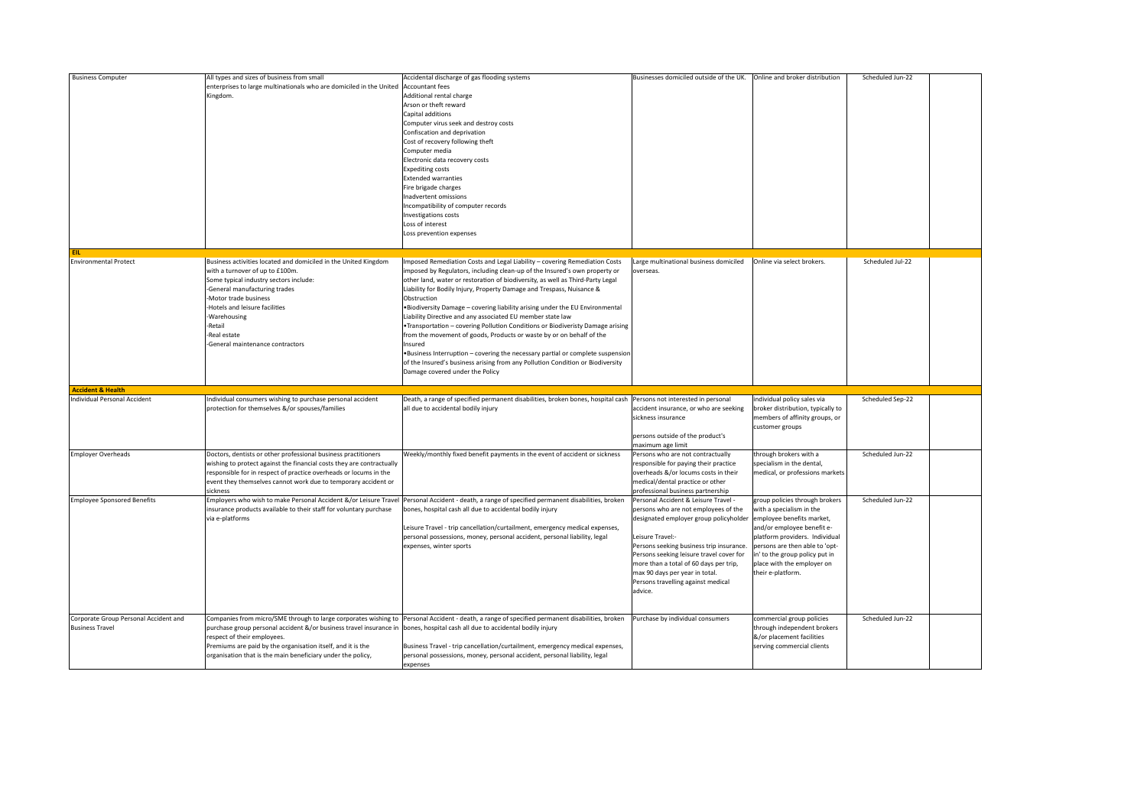| <b>Business Computer</b>                                            | All types and sizes of business from small<br>enterprises to large multinationals who are domiciled in the United<br>Kingdom.                                                                                                                                                                                      | Accidental discharge of gas flooding systems<br>Accountant fees<br>Additional rental charge<br>Arson or theft reward<br>Capital additions<br>Computer virus seek and destroy costs<br>Confiscation and deprivation<br>Cost of recovery following theft<br>Computer media<br>Electronic data recovery costs<br><b>Expediting costs</b><br><b>Extended warranties</b><br>Fire brigade charges<br>Inadvertent omissions<br>Incompatibility of computer records<br>Investigations costs<br>Loss of interest<br>Loss prevention expenses                                                                                                                                                                                                                                                                                                                             | Businesses domiciled outside of the UK.                                                                                                                                                                                                                                                                                                                         | Online and broker distribution                                                                                                                                                                                                                                                 | Scheduled Jun-22 |  |
|---------------------------------------------------------------------|--------------------------------------------------------------------------------------------------------------------------------------------------------------------------------------------------------------------------------------------------------------------------------------------------------------------|-----------------------------------------------------------------------------------------------------------------------------------------------------------------------------------------------------------------------------------------------------------------------------------------------------------------------------------------------------------------------------------------------------------------------------------------------------------------------------------------------------------------------------------------------------------------------------------------------------------------------------------------------------------------------------------------------------------------------------------------------------------------------------------------------------------------------------------------------------------------|-----------------------------------------------------------------------------------------------------------------------------------------------------------------------------------------------------------------------------------------------------------------------------------------------------------------------------------------------------------------|--------------------------------------------------------------------------------------------------------------------------------------------------------------------------------------------------------------------------------------------------------------------------------|------------------|--|
| EIL.<br><b>Environmental Protect</b>                                | Business activities located and domiciled in the United Kingdom<br>with a turnover of up to £100m.<br>Some typical industry sectors include:<br>General manufacturing trades<br>Motor trade business<br>Hotels and leisure facilities<br>-Warehousing<br>Retail<br>Real estate<br>-General maintenance contractors | Imposed Remediation Costs and Legal Liability - covering Remediation Costs<br>imposed by Regulators, including clean-up of the Insured's own property or<br>other land, water or restoration of biodiversity, as well as Third-Party Legal<br>Liability for Bodily Injury, Property Damage and Trespass, Nuisance &<br>Obstruction<br>. Biodiversity Damage - covering liability arising under the EU Environmental<br>Liability Directive and any associated EU member state law<br>. Transportation - covering Pollution Conditions or Biodiveristy Damage arising<br>from the movement of goods, Products or waste by or on behalf of the<br>Insured<br>. Business Interruption - covering the necessary partial or complete suspension<br>of the Insured's business arising from any Pollution Condition or Biodiversity<br>Damage covered under the Policy | Large multinational business domiciled<br>overseas.                                                                                                                                                                                                                                                                                                             | Online via select brokers.                                                                                                                                                                                                                                                     | Scheduled Jul-22 |  |
|                                                                     |                                                                                                                                                                                                                                                                                                                    |                                                                                                                                                                                                                                                                                                                                                                                                                                                                                                                                                                                                                                                                                                                                                                                                                                                                 |                                                                                                                                                                                                                                                                                                                                                                 |                                                                                                                                                                                                                                                                                |                  |  |
| <b>Accident &amp; Health</b><br><b>Individual Personal Accident</b> | Individual consumers wishing to purchase personal accident<br>protection for themselves &/or spouses/families                                                                                                                                                                                                      | Death, a range of specified permanent disabilities, broken bones, hospital cash Persons not interested in personal<br>all due to accidental bodily injury                                                                                                                                                                                                                                                                                                                                                                                                                                                                                                                                                                                                                                                                                                       | accident insurance, or who are seeking<br>sickness insurance<br>persons outside of the product's                                                                                                                                                                                                                                                                | individual policy sales via<br>broker distribution, typically to<br>members of affinity groups, or<br>customer groups                                                                                                                                                          | Scheduled Sep-22 |  |
| <b>Employer Overheads</b>                                           | Doctors, dentists or other professional business practitioners<br>wishing to protect against the financial costs they are contractually<br>esponsible for in respect of practice overheads or locums in the<br>event they themselves cannot work due to temporary accident or<br>sickness                          | Weekly/monthly fixed benefit payments in the event of accident or sickness                                                                                                                                                                                                                                                                                                                                                                                                                                                                                                                                                                                                                                                                                                                                                                                      | maximum age limit<br>Persons who are not contractually<br>responsible for paying their practice<br>overheads &/or locums costs in their<br>medical/dental practice or other<br>professional business partnership                                                                                                                                                | through brokers with a<br>specialism in the dental,<br>medical, or professions markets                                                                                                                                                                                         | Scheduled Jun-22 |  |
| <b>Employee Sponsored Benefits</b>                                  | Employers who wish to make Personal Accident &/or Leisure Travel<br>insurance products available to their staff for voluntary purchase<br>via e-platforms                                                                                                                                                          | Personal Accident - death, a range of specified permanent disabilities, broken<br>bones, hospital cash all due to accidental bodily injury<br>Leisure Travel - trip cancellation/curtailment, emergency medical expenses,<br>personal possessions, money, personal accident, personal liability, legal<br>expenses, winter sports                                                                                                                                                                                                                                                                                                                                                                                                                                                                                                                               | Personal Accident & Leisure Travel -<br>persons who are not employees of the<br>designated employer group policyholder<br>Leisure Travel:-<br>Persons seeking business trip insurance.<br>Persons seeking leisure travel cover for<br>more than a total of 60 days per trip,<br>max 90 days per year in total.<br>Persons travelling against medical<br>advice. | group policies through brokers<br>with a specialism in the<br>employee benefits market,<br>and/or employee benefit e-<br>platform providers. Individual<br>persons are then able to 'opt-<br>in' to the group policy put in<br>place with the employer on<br>their e-platform. | Scheduled Jun-22 |  |
| Corporate Group Personal Accident and<br><b>Business Travel</b>     | Companies from micro/SME through to large corporates wishing to<br>purchase group personal accident &/or business travel insurance in<br>respect of their employees.<br>Premiums are paid by the organisation itself, and it is the<br>organisation that is the main beneficiary under the policy,                 | Personal Accident - death, a range of specified permanent disabilities, broken<br>bones, hospital cash all due to accidental bodily injury<br>Business Travel - trip cancellation/curtailment, emergency medical expenses,<br>personal possessions, money, personal accident, personal liability, legal<br>expenses                                                                                                                                                                                                                                                                                                                                                                                                                                                                                                                                             | Purchase by individual consumers                                                                                                                                                                                                                                                                                                                                | commercial group policies<br>through independent brokers<br>&/or placement facilities<br>serving commercial clients                                                                                                                                                            | Scheduled Jun-22 |  |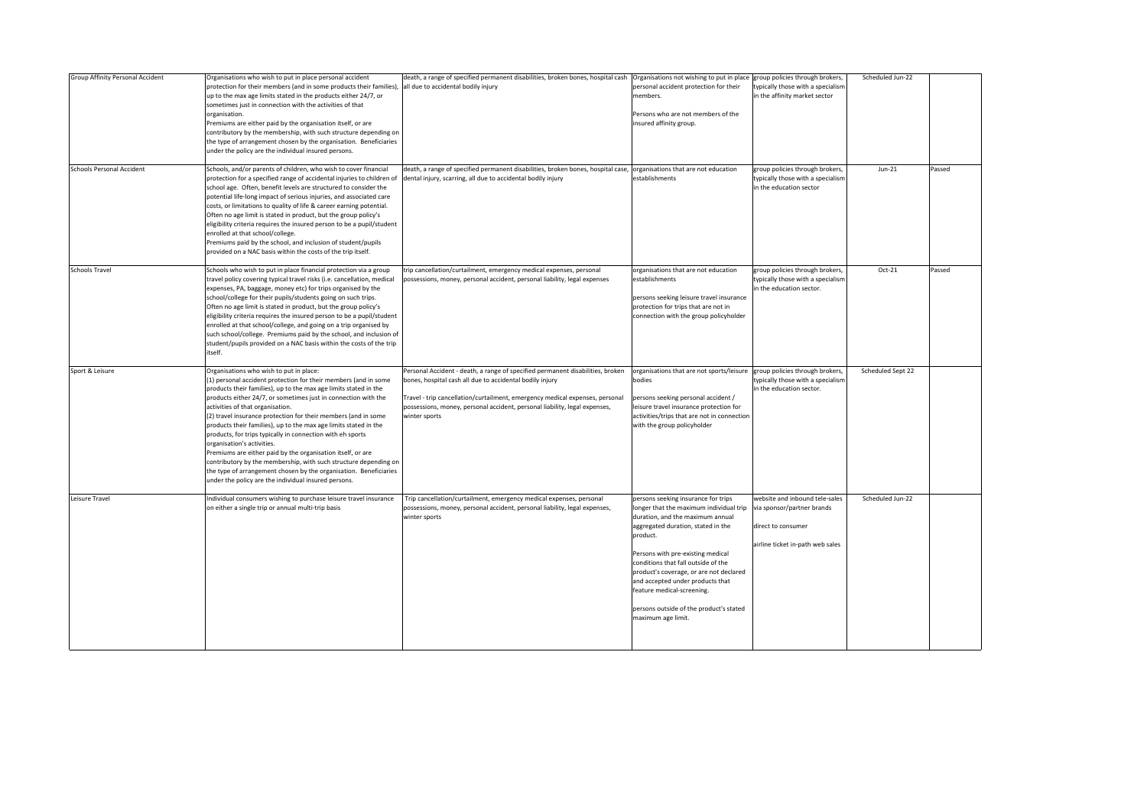| Group Affinity Personal Accident | Organisations who wish to put in place personal accident<br>protection for their members (and in some products their families), all due to accidental bodily injury<br>up to the max age limits stated in the products either 24/7, or<br>sometimes just in connection with the activities of that<br>organisation.<br>Premiums are either paid by the organisation itself, or are<br>contributory by the membership, with such structure depending on<br>the type of arrangement chosen by the organisation. Beneficiaries<br>under the policy are the individual insured persons.                                                                                                                                                                                                    | death, a range of specified permanent disabilities, broken bones, hospital cash                                                                                                                                                                                                                                           | Organisations not wishing to put in place group policies through brokers,<br>personal accident protection for their<br>members.<br>Persons who are not members of the<br>insured affinity group.                                                                                                                                                                                                                               | typically those with a specialism<br>in the affinity market sector                                                     | Scheduled Jun-22  |        |
|----------------------------------|----------------------------------------------------------------------------------------------------------------------------------------------------------------------------------------------------------------------------------------------------------------------------------------------------------------------------------------------------------------------------------------------------------------------------------------------------------------------------------------------------------------------------------------------------------------------------------------------------------------------------------------------------------------------------------------------------------------------------------------------------------------------------------------|---------------------------------------------------------------------------------------------------------------------------------------------------------------------------------------------------------------------------------------------------------------------------------------------------------------------------|--------------------------------------------------------------------------------------------------------------------------------------------------------------------------------------------------------------------------------------------------------------------------------------------------------------------------------------------------------------------------------------------------------------------------------|------------------------------------------------------------------------------------------------------------------------|-------------------|--------|
| <b>Schools Personal Accident</b> | Schools, and/or parents of children, who wish to cover financial<br>protection for a specified range of accidental injuries to children of<br>school age. Often, benefit levels are structured to consider the<br>potential life-long impact of serious injuries, and associated care<br>costs, or limitations to quality of life & career earning potential.<br>Often no age limit is stated in product, but the group policy's<br>eligibility criteria requires the insured person to be a pupil/student<br>enrolled at that school/college.<br>Premiums paid by the school, and inclusion of student/pupils<br>provided on a NAC basis within the costs of the trip itself.                                                                                                         | death, a range of specified permanent disabilities, broken bones, hospital case, organisations that are not education<br>dental injury, scarring, all due to accidental bodily injury                                                                                                                                     | establishments                                                                                                                                                                                                                                                                                                                                                                                                                 | group policies through brokers,<br>typically those with a specialism<br>in the education sector                        | $Jun-21$          | Passed |
| <b>Schools Travel</b>            | Schools who wish to put in place financial protection via a group<br>travel policy covering typical travel risks (i.e. cancellation, medical<br>expenses, PA, baggage, money etc) for trips organised by the<br>school/college for their pupils/students going on such trips.<br>Often no age limit is stated in product, but the group policy's<br>eligibility criteria requires the insured person to be a pupil/student<br>enrolled at that school/college, and going on a trip organised by<br>such school/college. Premiums paid by the school, and inclusion of<br>student/pupils provided on a NAC basis within the costs of the trip<br>itself.                                                                                                                                | trip cancellation/curtailment, emergency medical expenses, personal<br>possessions, money, personal accident, personal liability, legal expenses                                                                                                                                                                          | organisations that are not education<br>establishments<br>persons seeking leisure travel insurance<br>protection for trips that are not in<br>connection with the group policyholder                                                                                                                                                                                                                                           | group policies through brokers,<br>typically those with a specialism<br>in the education sector.                       | Oct-21            | Passed |
| Sport & Leisure                  | Organisations who wish to put in place:<br>(1) personal accident protection for their members (and in some<br>products their families), up to the max age limits stated in the<br>products either 24/7, or sometimes just in connection with the<br>activities of that organisation.<br>(2) travel insurance protection for their members (and in some<br>products their families), up to the max age limits stated in the<br>products, for trips typically in connection with eh sports<br>organisation's activities.<br>Premiums are either paid by the organisation itself, or are<br>contributory by the membership, with such structure depending on<br>the type of arrangement chosen by the organisation. Beneficiaries<br>under the policy are the individual insured persons. | Personal Accident - death, a range of specified permanent disabilities, broken<br>bones, hospital cash all due to accidental bodily injury<br>Travel - trip cancellation/curtailment, emergency medical expenses, personal<br>possessions, money, personal accident, personal liability, legal expenses,<br>winter sports | organisations that are not sports/leisure group policies through brokers,<br>bodies<br>persons seeking personal accident /<br>leisure travel insurance protection for<br>activities/trips that are not in connection<br>with the group policyholder                                                                                                                                                                            | typically those with a specialism<br>in the education sector.                                                          | Scheduled Sept 22 |        |
| Leisure Travel                   | Individual consumers wishing to purchase leisure travel insurance<br>on either a single trip or annual multi-trip basis                                                                                                                                                                                                                                                                                                                                                                                                                                                                                                                                                                                                                                                                | Trip cancellation/curtailment, emergency medical expenses, personal<br>possessions, money, personal accident, personal liability, legal expenses,<br>winter sports                                                                                                                                                        | persons seeking insurance for trips<br>longer that the maximum individual trip<br>duration, and the maximum annual<br>aggregated duration, stated in the<br>product.<br>Persons with pre-existing medical<br>conditions that fall outside of the<br>product's coverage, or are not declared<br>and accepted under products that<br>feature medical-screening.<br>persons outside of the product's stated<br>maximum age limit. | website and inbound tele-sales<br>via sponsor/partner brands<br>direct to consumer<br>airline ticket in-path web sales | Scheduled Jun-22  |        |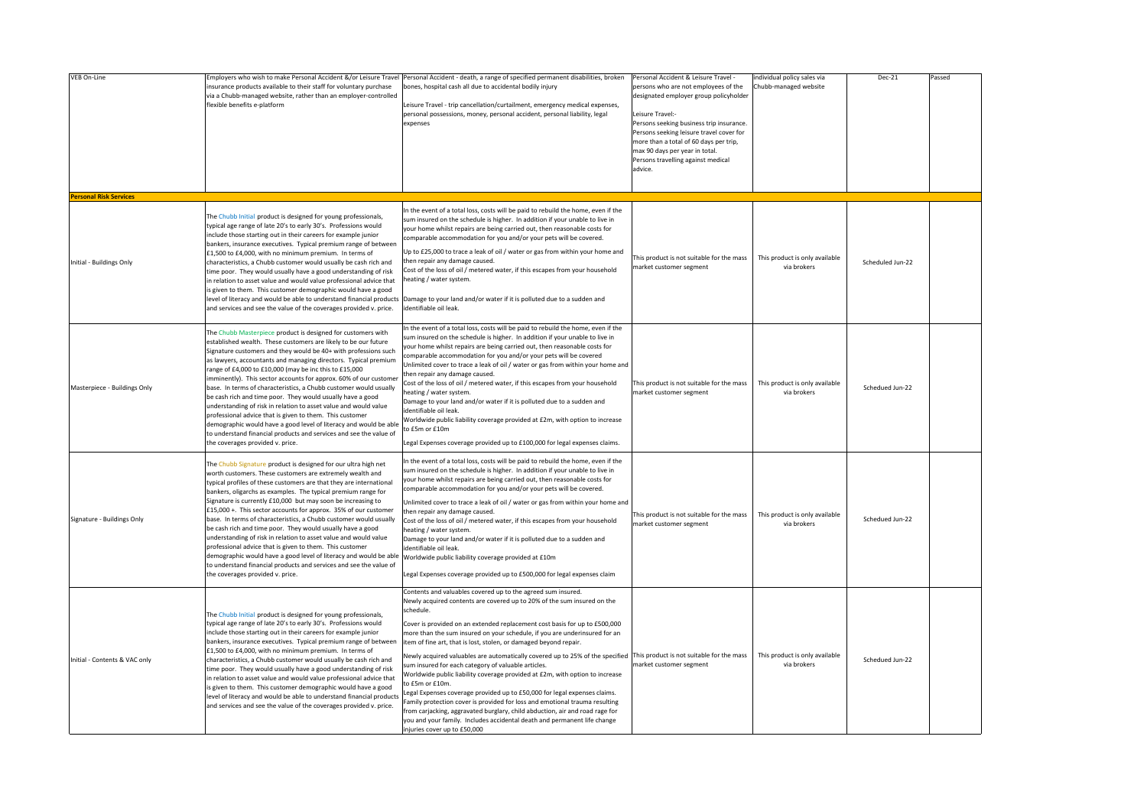| VEB On-Line                                               | insurance products available to their staff for voluntary purchase<br>via a Chubb-managed website, rather than an employer-controlled<br>flexible benefits e-platform                                                                                                                                                                                                                                                                                                                                                                                                                                                                                                                                                                                                                                                                                    | Employers who wish to make Personal Accident &/or Leisure Travel Personal Accident - death, a range of specified permanent disabilities, broken<br>bones, hospital cash all due to accidental bodily injury<br>Leisure Travel - trip cancellation/curtailment, emergency medical expenses,<br>personal possessions, money, personal accident, personal liability, legal<br>expenses                                                                                                                                                                                                                                                                                                                                                                                                                                                                                                                                                                                                      | Personal Accident & Leisure Travel -<br>persons who are not employees of the<br>designated employer group policyholder<br>eisure Travel:-<br>Persons seeking business trip insurance.<br>Persons seeking leisure travel cover for<br>more than a total of 60 days per trip,<br>max 90 days per year in total.<br>Persons travelling against medical<br>advice. | individual policy sales via<br>Chubb-managed website | Dec-21           | Passed |
|-----------------------------------------------------------|----------------------------------------------------------------------------------------------------------------------------------------------------------------------------------------------------------------------------------------------------------------------------------------------------------------------------------------------------------------------------------------------------------------------------------------------------------------------------------------------------------------------------------------------------------------------------------------------------------------------------------------------------------------------------------------------------------------------------------------------------------------------------------------------------------------------------------------------------------|------------------------------------------------------------------------------------------------------------------------------------------------------------------------------------------------------------------------------------------------------------------------------------------------------------------------------------------------------------------------------------------------------------------------------------------------------------------------------------------------------------------------------------------------------------------------------------------------------------------------------------------------------------------------------------------------------------------------------------------------------------------------------------------------------------------------------------------------------------------------------------------------------------------------------------------------------------------------------------------|----------------------------------------------------------------------------------------------------------------------------------------------------------------------------------------------------------------------------------------------------------------------------------------------------------------------------------------------------------------|------------------------------------------------------|------------------|--------|
| <b>Personal Risk Services</b><br>Initial - Buildings Only | The Chubb Initial product is designed for young professionals,<br>typical age range of late 20's to early 30's. Professions would<br>include those starting out in their careers for example junior<br>bankers, insurance executives. Typical premium range of between<br>£1,500 to £4,000, with no minimum premium. In terms of<br>characteristics, a Chubb customer would usually be cash rich and<br>time poor. They would usually have a good understanding of risk<br>in relation to asset value and would value professional advice that<br>is given to them. This customer demographic would have a good<br>level of literacy and would be able to understand financial products<br>and services and see the value of the coverages provided v. price.                                                                                            | In the event of a total loss, costs will be paid to rebuild the home, even if the<br>sum insured on the schedule is higher. In addition if your unable to live in<br>your home whilst repairs are being carried out, then reasonable costs for<br>comparable accommodation for you and/or your pets will be covered.<br>Up to £25,000 to trace a leak of oil / water or gas from within your home and<br>then repair any damage caused.<br>Cost of the loss of oil / metered water, if this escapes from your household<br>heating / water system.<br>Damage to your land and/or water if it is polluted due to a sudden and<br>identifiable oil leak                                                                                                                                                                                                                                                                                                                                    | This product is not suitable for the mass<br>market customer segment                                                                                                                                                                                                                                                                                           | This product is only available<br>via brokers        | Scheduled Jun-22 |        |
| Masterpiece - Buildings Only                              | The Chubb Masterpiece product is designed for customers with<br>established wealth. These customers are likely to be our future<br>Signature customers and they would be 40+ with professions such<br>as lawyers, accountants and managing directors. Typical premium<br>range of £4,000 to £10,000 (may be inc this to £15,000<br>imminently). This sector accounts for approx. 60% of our customer<br>base. In terms of characteristics, a Chubb customer would usually<br>be cash rich and time poor. They would usually have a good<br>understanding of risk in relation to asset value and would value<br>professional advice that is given to them. This customer<br>demographic would have a good level of literacy and would be able<br>to understand financial products and services and see the value of<br>the coverages provided v. price.   | In the event of a total loss, costs will be paid to rebuild the home, even if the<br>sum insured on the schedule is higher. In addition if your unable to live in<br>your home whilst repairs are being carried out, then reasonable costs for<br>comparable accommodation for you and/or your pets will be covered<br>Unlimited cover to trace a leak of oil / water or gas from within your home and<br>then repair any damage caused.<br>Cost of the loss of oil / metered water, if this escapes from your household<br>heating / water system.<br>Damage to your land and/or water if it is polluted due to a sudden and<br>identifiable oil leak.<br>Worldwide public liability coverage provided at £2m, with option to increase<br>to £5m or £10m<br>Legal Expenses coverage provided up to £100,000 for legal expenses claims.                                                                                                                                                  | This product is not suitable for the mass<br>market customer segment                                                                                                                                                                                                                                                                                           | This product is only available<br>via brokers        | Schedued Jun-22  |        |
| Signature - Buildings Only                                | The Chubb Signature product is designed for our ultra high net<br>worth customers. These customers are extremely wealth and<br>typical profiles of these customers are that they are international<br>bankers, oligarchs as examples. The typical premium range for<br>Signature is currently £10,000 but may soon be increasing to<br>£15,000 +. This sector accounts for approx. 35% of our customer<br>base. In terms of characteristics, a Chubb customer would usually<br>be cash rich and time poor. They would usually have a good<br>understanding of risk in relation to asset value and would value<br>professional advice that is given to them. This customer<br>demographic would have a good level of literacy and would be able<br>to understand financial products and services and see the value of<br>the coverages provided v. price. | n the event of a total loss, costs will be paid to rebuild the home, even if the<br>sum insured on the schedule is higher. In addition if your unable to live in<br>your home whilst repairs are being carried out, then reasonable costs for<br>comparable accommodation for you and/or your pets will be covered.<br>Unlimited cover to trace a leak of oil / water or gas from within your home and<br>then repair any damage caused.<br>Cost of the loss of oil / metered water, if this escapes from your household<br>heating / water system.<br>Damage to your land and/or water if it is polluted due to a sudden and<br>identifiable oil leak.<br>Worldwide public liability coverage provided at £10m<br>Legal Expenses coverage provided up to £500,000 for legal expenses claim                                                                                                                                                                                              | This product is not suitable for the mass<br>market customer segment                                                                                                                                                                                                                                                                                           | This product is only available<br>via brokers        | Schedued Jun-22  |        |
| Initial - Contents & VAC only                             | The Chubb Initial product is designed for young professionals,<br>typical age range of late 20's to early 30's. Professions would<br>include those starting out in their careers for example junior<br>bankers, insurance executives. Typical premium range of between<br>£1,500 to £4,000, with no minimum premium. In terms of<br>characteristics, a Chubb customer would usually be cash rich and<br>time poor. They would usually have a good understanding of risk<br>in relation to asset value and would value professional advice that<br>is given to them. This customer demographic would have a good<br>level of literacy and would be able to understand financial products<br>and services and see the value of the coverages provided v. price.                                                                                            | Contents and valuables covered up to the agreed sum insured.<br>Newly acquired contents are covered up to 20% of the sum insured on the<br>schedule.<br>Cover is provided on an extended replacement cost basis for up to £500,000<br>more than the sum insured on your schedule, if you are underinsured for an<br>item of fine art, that is lost, stolen, or damaged beyond repair.<br>Newly acquired valuables are automatically covered up to 25% of the specified<br>sum insured for each category of valuable articles.<br>Worldwide public liability coverage provided at £2m, with option to increase<br>to £5m or £10m.<br>Legal Expenses coverage provided up to £50,000 for legal expenses claims.<br>Family protection cover is provided for loss and emotional trauma resulting<br>from carjacking, aggravated burglary, child abduction, air and road rage for<br>you and your family. Includes accidental death and permanent life change<br>injuries cover up to £50,000 | This product is not suitable for the mass<br>narket customer segment                                                                                                                                                                                                                                                                                           | This product is only available<br>via brokers        | Schedued Jun-22  |        |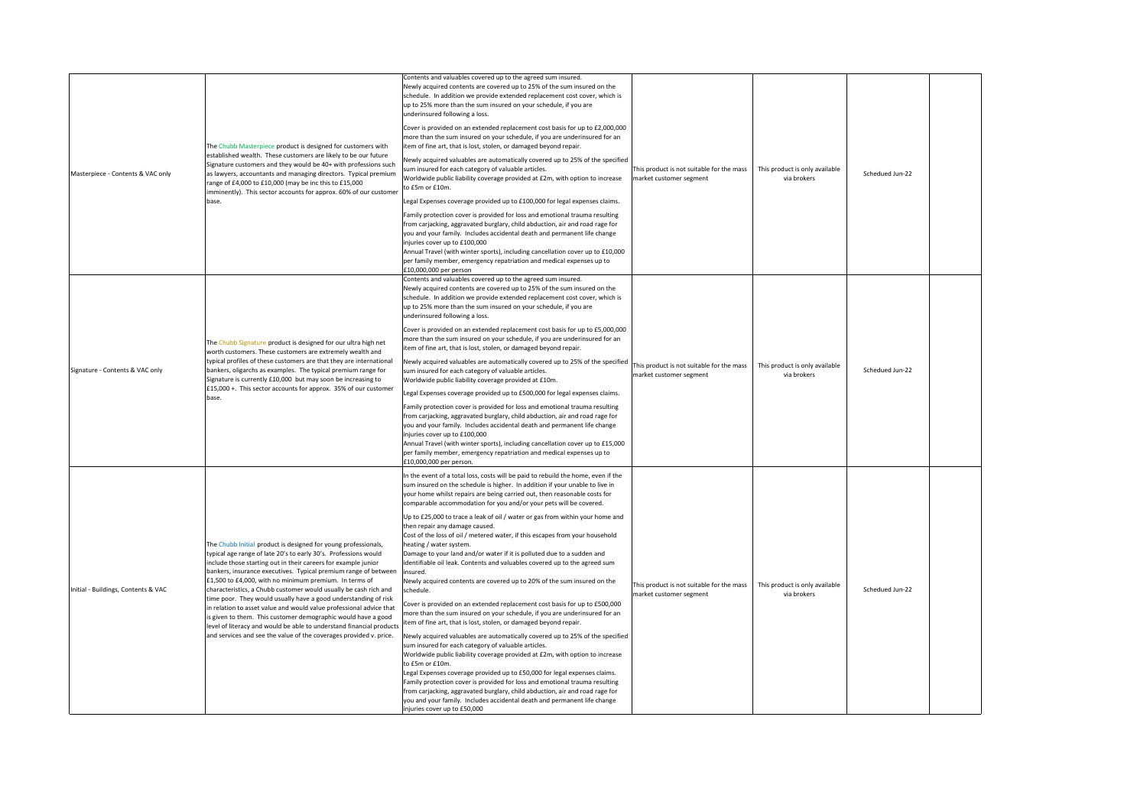| Masterpiece - Contents & VAC only   | The Chubb Masterpiece product is designed for customers with<br>established wealth. These customers are likely to be our future<br>Signature customers and they would be 40+ with professions such<br>as lawyers, accountants and managing directors. Typical premium<br>range of £4,000 to £10,000 (may be inc this to £15,000<br>imminently). This sector accounts for approx. 60% of our customer<br>base.                                                                                                                                                                                                                                                                                                                                                 | Contents and valuables covered up to the agreed sum insured.<br>Newly acquired contents are covered up to 25% of the sum insured on the<br>schedule. In addition we provide extended replacement cost cover, which is<br>up to 25% more than the sum insured on your schedule, if you are<br>underinsured following a loss.<br>Cover is provided on an extended replacement cost basis for up to £2,000,000<br>more than the sum insured on your schedule, if you are underinsured for an<br>item of fine art, that is lost, stolen, or damaged beyond repair.<br>Newly acquired valuables are automatically covered up to 25% of the specified<br>sum insured for each category of valuable articles.<br>Worldwide public liability coverage provided at £2m, with option to increase<br>to £5m or £10m.<br>Legal Expenses coverage provided up to £100,000 for legal expenses claims.<br>Family protection cover is provided for loss and emotional trauma resulting<br>from carjacking, aggravated burglary, child abduction, air and road rage for<br>you and your family. Includes accidental death and permanent life change<br>injuries cover up to £100,000<br>Annual Travel (with winter sports), including cancellation cover up to £10,000<br>per family member, emergency repatriation and medical expenses up to<br>£10,000,000 per person                                                                                                                                                                                                                                                                                            | This product is not suitable for the mass<br>market customer segment | This product is only available<br>Schedued Jun-22<br>via brokers |  |
|-------------------------------------|---------------------------------------------------------------------------------------------------------------------------------------------------------------------------------------------------------------------------------------------------------------------------------------------------------------------------------------------------------------------------------------------------------------------------------------------------------------------------------------------------------------------------------------------------------------------------------------------------------------------------------------------------------------------------------------------------------------------------------------------------------------|----------------------------------------------------------------------------------------------------------------------------------------------------------------------------------------------------------------------------------------------------------------------------------------------------------------------------------------------------------------------------------------------------------------------------------------------------------------------------------------------------------------------------------------------------------------------------------------------------------------------------------------------------------------------------------------------------------------------------------------------------------------------------------------------------------------------------------------------------------------------------------------------------------------------------------------------------------------------------------------------------------------------------------------------------------------------------------------------------------------------------------------------------------------------------------------------------------------------------------------------------------------------------------------------------------------------------------------------------------------------------------------------------------------------------------------------------------------------------------------------------------------------------------------------------------------------------------------------------------------------------------------------------|----------------------------------------------------------------------|------------------------------------------------------------------|--|
| Signature - Contents & VAC only     | The Chubb Signature product is designed for our ultra high net<br>worth customers. These customers are extremely wealth and<br>typical profiles of these customers are that they are international<br>bankers, oligarchs as examples. The typical premium range for<br>Signature is currently £10,000 but may soon be increasing to<br>£15,000 +. This sector accounts for approx. 35% of our customer<br>base.                                                                                                                                                                                                                                                                                                                                               | Contents and valuables covered up to the agreed sum insured.<br>Newly acquired contents are covered up to 25% of the sum insured on the<br>schedule. In addition we provide extended replacement cost cover, which is<br>up to 25% more than the sum insured on your schedule, if you are<br>underinsured following a loss.<br>Cover is provided on an extended replacement cost basis for up to £5,000,000<br>more than the sum insured on your schedule, if you are underinsured for an<br>item of fine art, that is lost, stolen, or damaged beyond repair.<br>Newly acquired valuables are automatically covered up to 25% of the specified<br>sum insured for each category of valuable articles.<br>Worldwide public liability coverage provided at £10m.<br>Legal Expenses coverage provided up to £500,000 for legal expenses claims.<br>Family protection cover is provided for loss and emotional trauma resulting<br>from carjacking, aggravated burglary, child abduction, air and road rage for<br>you and your family. Includes accidental death and permanent life change<br>injuries cover up to £100,000<br>Annual Travel (with winter sports), including cancellation cover up to £15,000<br>per family member, emergency repatriation and medical expenses up to<br>£10,000,000 per person.                                                                                                                                                                                                                                                                                                                                     | This product is not suitable for the mass<br>market customer segment | This product is only available<br>Schedued Jun-22<br>via brokers |  |
| Initial - Buildings, Contents & VAC | The Chubb Initial product is designed for young professionals,<br>typical age range of late 20's to early 30's. Professions would<br>include those starting out in their careers for example junior<br>bankers, insurance executives. Typical premium range of between<br>£1,500 to £4,000, with no minimum premium. In terms of<br>characteristics, a Chubb customer would usually be cash rich and<br>time poor. They would usually have a good understanding of risk<br>in relation to asset value and would value professional advice that<br>is given to them. This customer demographic would have a good<br>level of literacy and would be able to understand financial products<br>and services and see the value of the coverages provided v. price. | In the event of a total loss, costs will be paid to rebuild the home, even if the<br>sum insured on the schedule is higher. In addition if your unable to live in<br>your home whilst repairs are being carried out, then reasonable costs for<br>comparable accommodation for you and/or your pets will be covered.<br>Up to £25,000 to trace a leak of oil / water or gas from within your home and<br>then repair any damage caused.<br>Cost of the loss of oil / metered water, if this escapes from your household<br>heating / water system.<br>Damage to your land and/or water if it is polluted due to a sudden and<br>identifiable oil leak. Contents and valuables covered up to the agreed sum<br>insured.<br>Newly acquired contents are covered up to 20% of the sum insured on the<br>schedule.<br>Cover is provided on an extended replacement cost basis for up to £500,000<br>more than the sum insured on your schedule, if you are underinsured for an<br>item of fine art, that is lost, stolen, or damaged beyond repair.<br>Newly acquired valuables are automatically covered up to 25% of the specified<br>sum insured for each category of valuable articles.<br>Worldwide public liability coverage provided at £2m, with option to increase<br>to £5m or £10m.<br>Legal Expenses coverage provided up to £50,000 for legal expenses claims.<br>Family protection cover is provided for loss and emotional trauma resulting<br>from carjacking, aggravated burglary, child abduction, air and road rage for<br>you and your family. Includes accidental death and permanent life change<br>injuries cover up to £50,000 | This product is not suitable for the mass<br>market customer segment | This product is only available<br>Schedued Jun-22<br>via brokers |  |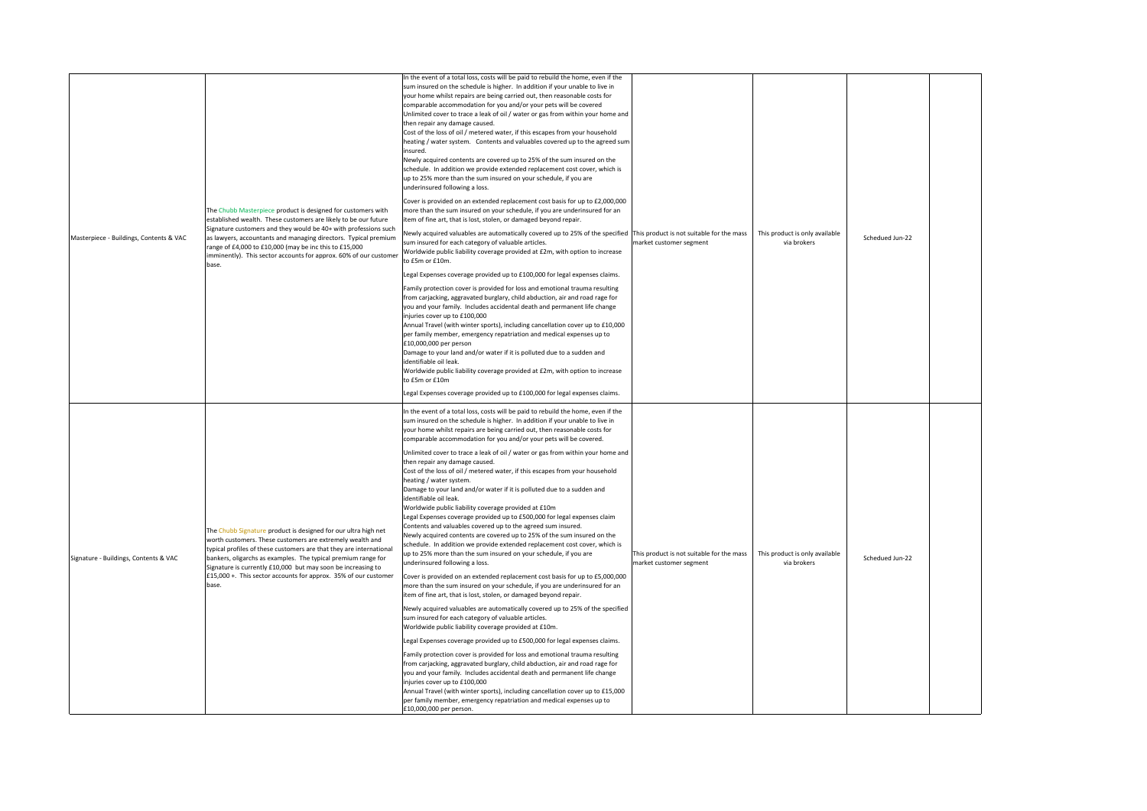| Masterpiece - Buildings, Contents & VAC | The Chubb Masterpiece product is designed for customers with<br>established wealth. These customers are likely to be our future<br>Signature customers and they would be 40+ with professions such<br>as lawyers, accountants and managing directors. Typical premium<br>range of £4,000 to £10,000 (may be inc this to £15,000<br>imminently). This sector accounts for approx. 60% of our customer<br>base.   | In the event of a total loss, costs will be paid to rebuild the home, even if the<br>sum insured on the schedule is higher. In addition if your unable to live in<br>your home whilst repairs are being carried out, then reasonable costs for<br>comparable accommodation for you and/or your pets will be covered<br>Unlimited cover to trace a leak of oil / water or gas from within your home and<br>then repair any damage caused.<br>Cost of the loss of oil / metered water, if this escapes from your household<br>heating / water system. Contents and valuables covered up to the agreed sum<br>insured.<br>Newly acquired contents are covered up to 25% of the sum insured on the<br>schedule. In addition we provide extended replacement cost cover, which is<br>up to 25% more than the sum insured on your schedule, if you are<br>underinsured following a loss.<br>Cover is provided on an extended replacement cost basis for up to £2,000,000<br>more than the sum insured on your schedule, if you are underinsured for an<br>item of fine art, that is lost, stolen, or damaged beyond repair.<br>Newly acquired valuables are automatically covered up to 25% of the specified This product is not suitable for the mass<br>sum insured for each category of valuable articles.<br>Worldwide public liability coverage provided at £2m, with option to increase<br>to £5m or £10m.<br>Legal Expenses coverage provided up to £100,000 for legal expenses claims.<br>Family protection cover is provided for loss and emotional trauma resulting<br>from carjacking, aggravated burglary, child abduction, air and road rage for<br>you and your family. Includes accidental death and permanent life change<br>injuries cover up to £100,000<br>Annual Travel (with winter sports), including cancellation cover up to £10,000<br>per family member, emergency repatriation and medical expenses up to<br>£10,000,000 per person<br>Damage to your land and/or water if it is polluted due to a sudden and<br>identifiable oil leak.<br>Worldwide public liability coverage provided at £2m, with option to increase<br>to £5m or £10m<br>Legal Expenses coverage provided up to £100,000 for legal expenses claims. | market customer segment                                              | This product is only available<br>via brokers | Schedued Jun-22 |  |
|-----------------------------------------|-----------------------------------------------------------------------------------------------------------------------------------------------------------------------------------------------------------------------------------------------------------------------------------------------------------------------------------------------------------------------------------------------------------------|----------------------------------------------------------------------------------------------------------------------------------------------------------------------------------------------------------------------------------------------------------------------------------------------------------------------------------------------------------------------------------------------------------------------------------------------------------------------------------------------------------------------------------------------------------------------------------------------------------------------------------------------------------------------------------------------------------------------------------------------------------------------------------------------------------------------------------------------------------------------------------------------------------------------------------------------------------------------------------------------------------------------------------------------------------------------------------------------------------------------------------------------------------------------------------------------------------------------------------------------------------------------------------------------------------------------------------------------------------------------------------------------------------------------------------------------------------------------------------------------------------------------------------------------------------------------------------------------------------------------------------------------------------------------------------------------------------------------------------------------------------------------------------------------------------------------------------------------------------------------------------------------------------------------------------------------------------------------------------------------------------------------------------------------------------------------------------------------------------------------------------------------------------------------------------------------------------------------------------------------|----------------------------------------------------------------------|-----------------------------------------------|-----------------|--|
| Signature - Buildings, Contents & VAC   | The Chubb Signature product is designed for our ultra high net<br>worth customers. These customers are extremely wealth and<br>typical profiles of these customers are that they are international<br>bankers, oligarchs as examples. The typical premium range for<br>Signature is currently £10,000 but may soon be increasing to<br>£15,000 +. This sector accounts for approx. 35% of our customer<br>base. | In the event of a total loss, costs will be paid to rebuild the home, even if the<br>sum insured on the schedule is higher. In addition if your unable to live in<br>your home whilst repairs are being carried out, then reasonable costs for<br>comparable accommodation for you and/or your pets will be covered.<br>Unlimited cover to trace a leak of oil / water or gas from within your home and<br>then repair any damage caused.<br>Cost of the loss of oil / metered water, if this escapes from your household<br>heating / water system.<br>Damage to your land and/or water if it is polluted due to a sudden and<br>identifiable oil leak.<br>Worldwide public liability coverage provided at £10m<br>Legal Expenses coverage provided up to £500,000 for legal expenses claim<br>Contents and valuables covered up to the agreed sum insured.<br>Newly acquired contents are covered up to 25% of the sum insured on the<br>schedule. In addition we provide extended replacement cost cover, which is<br>up to 25% more than the sum insured on your schedule, if you are<br>underinsured following a loss.<br>Cover is provided on an extended replacement cost basis for up to £5,000,000<br>more than the sum insured on your schedule, if you are underinsured for an<br>item of fine art, that is lost, stolen, or damaged beyond repair.<br>Newly acquired valuables are automatically covered up to 25% of the specified<br>sum insured for each category of valuable articles.<br>Worldwide public liability coverage provided at £10m.<br>Legal Expenses coverage provided up to £500,000 for legal expenses claims.<br>Family protection cover is provided for loss and emotional trauma resulting<br>from carjacking, aggravated burglary, child abduction, air and road rage for<br>you and your family. Includes accidental death and permanent life change<br>injuries cover up to £100,000<br>Annual Travel (with winter sports), including cancellation cover up to £15,000<br>per family member, emergency repatriation and medical expenses up to<br>£10,000,000 per person.                                                                                                                               | This product is not suitable for the mass<br>market customer segment | This product is only available<br>via brokers | Schedued Jun-22 |  |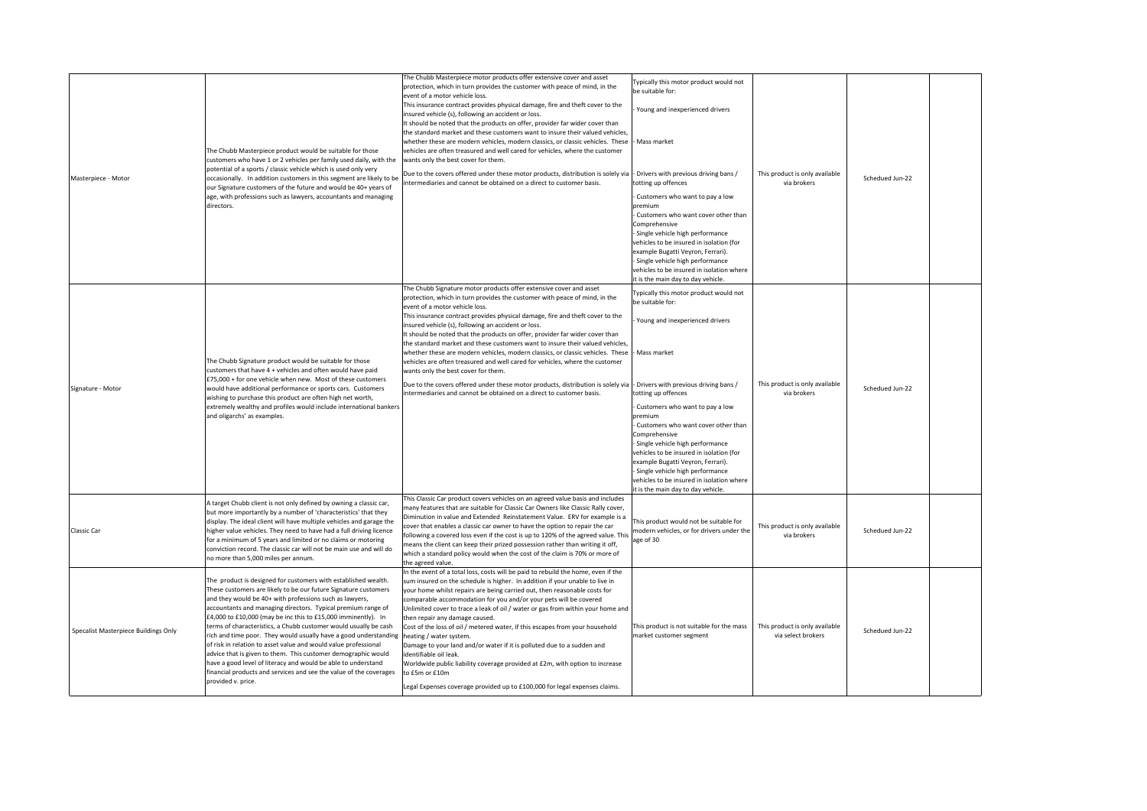| Masterpiece - Motor                  | The Chubb Masterpiece product would be suitable for those<br>customers who have 1 or 2 vehicles per family used daily, with the<br>potential of a sports / classic vehicle which is used only very<br>occasionally. In addition customers in this segment are likely to be<br>our Signature customers of the future and would be 40+ years of<br>age, with professions such as lawyers, accountants and managing<br>directors.                                                                                                                                                                                                                                                                                                                                         | The Chubb Masterpiece motor products offer extensive cover and asset<br>protection, which in turn provides the customer with peace of mind, in the<br>event of a motor vehicle loss.<br>This insurance contract provides physical damage, fire and theft cover to the<br>insured vehicle (s), following an accident or loss.<br>It should be noted that the products on offer, provider far wider cover than<br>the standard market and these customers want to insure their valued vehicles,<br>whether these are modern vehicles, modern classics, or classic vehicles. These<br>vehicles are often treasured and well cared for vehicles, where the customer<br>wants only the best cover for them.<br>Due to the covers offered under these motor products, distribution is solely via<br>ntermediaries and cannot be obtained on a direct to customer basis. | Typically this motor product would not<br>be suitable for:<br>Young and inexperienced drivers<br>- Mass market<br>- Drivers with previous driving bans /<br>totting up offences<br>Customers who want to pay a low<br>premium<br>Customers who want cover other than<br>Comprehensive<br>Single vehicle high performance<br>vehicles to be insured in isolation (for<br>example Bugatti Veyron, Ferrari).<br>Single vehicle high performance<br>vehicles to be insured in isolation where<br>it is the main day to day vehicle. | This product is only available<br>via brokers        | Schedued Jun-22 |
|--------------------------------------|------------------------------------------------------------------------------------------------------------------------------------------------------------------------------------------------------------------------------------------------------------------------------------------------------------------------------------------------------------------------------------------------------------------------------------------------------------------------------------------------------------------------------------------------------------------------------------------------------------------------------------------------------------------------------------------------------------------------------------------------------------------------|-------------------------------------------------------------------------------------------------------------------------------------------------------------------------------------------------------------------------------------------------------------------------------------------------------------------------------------------------------------------------------------------------------------------------------------------------------------------------------------------------------------------------------------------------------------------------------------------------------------------------------------------------------------------------------------------------------------------------------------------------------------------------------------------------------------------------------------------------------------------|---------------------------------------------------------------------------------------------------------------------------------------------------------------------------------------------------------------------------------------------------------------------------------------------------------------------------------------------------------------------------------------------------------------------------------------------------------------------------------------------------------------------------------|------------------------------------------------------|-----------------|
| Signature - Motor                    | The Chubb Signature product would be suitable for those<br>customers that have 4 + vehicles and often would have paid<br>£75,000 + for one vehicle when new. Most of these customers<br>would have additional performance or sports cars. Customers<br>wishing to purchase this product are often high net worth,<br>extremely wealthy and profiles would include international bankers<br>and oligarchs' as examples.                                                                                                                                                                                                                                                                                                                                                 | The Chubb Signature motor products offer extensive cover and asset<br>protection, which in turn provides the customer with peace of mind, in the<br>event of a motor vehicle loss.<br>This insurance contract provides physical damage, fire and theft cover to the<br>insured vehicle (s), following an accident or loss.<br>It should be noted that the products on offer, provider far wider cover than<br>the standard market and these customers want to insure their valued vehicles.<br>whether these are modern vehicles, modern classics, or classic vehicles. These<br>vehicles are often treasured and well cared for vehicles, where the customer<br>wants only the best cover for them.<br>Due to the covers offered under these motor products, distribution is solely via<br>intermediaries and cannot be obtained on a direct to customer basis.  | Typically this motor product would not<br>be suitable for:<br>Young and inexperienced drivers<br>Mass market<br>- Drivers with previous driving bans /<br>totting up offences<br>Customers who want to pay a low<br>premium<br>- Customers who want cover other than<br>Comprehensive<br>Single vehicle high performance<br>vehicles to be insured in isolation (for<br>example Bugatti Veyron, Ferrari).<br>Single vehicle high performance<br>vehicles to be insured in isolation where<br>it is the main day to day vehicle. | This product is only available<br>via brokers        | Schedued Jun-22 |
| Classic Car                          | A target Chubb client is not only defined by owning a classic car,<br>but more importantly by a number of 'characteristics' that they<br>display. The ideal client will have multiple vehicles and garage the<br>higher value vehicles. They need to have had a full driving licence<br>for a minimum of 5 years and limited or no claims or motoring<br>conviction record. The classic car will not be main use and will do<br>no more than 5,000 miles per annum.                                                                                                                                                                                                                                                                                                    | This Classic Car product covers vehicles on an agreed value basis and includes<br>nany features that are suitable for Classic Car Owners like Classic Rally cover,<br>Diminution in value and Extended Reinstatement Value. ERV for example is a<br>cover that enables a classic car owner to have the option to repair the car<br>following a covered loss even if the cost is up to 120% of the agreed value. This<br>means the client can keep their prized possession rather than writing it off,<br>which a standard policy would when the cost of the claim is 70% or more of<br>the agreed value.                                                                                                                                                                                                                                                          | This product would not be suitable for<br>modern vehicles, or for drivers under the<br>age of 30                                                                                                                                                                                                                                                                                                                                                                                                                                | This product is only available<br>via brokers        | Schedued Jun-22 |
| Specalist Masterpiece Buildings Only | The product is designed for customers with established wealth.<br>These customers are likely to be our future Signature customers<br>and they would be 40+ with professions such as lawyers,<br>accountants and managing directors. Typical premium range of<br>£4,000 to £10,000 (may be inc this to £15,000 imminently). In<br>terms of characteristics, a Chubb customer would usually be cash<br>rich and time poor. They would usually have a good understanding<br>of risk in relation to asset value and would value professional<br>advice that is given to them. This customer demographic would<br>have a good level of literacy and would be able to understand<br>financial products and services and see the value of the coverages<br>provided v. price. | In the event of a total loss, costs will be paid to rebuild the home, even if the<br>sum insured on the schedule is higher. In addition if your unable to live in<br>your home whilst repairs are being carried out, then reasonable costs for<br>comparable accommodation for you and/or your pets will be covered<br>Unlimited cover to trace a leak of oil / water or gas from within your home and<br>then repair any damage caused.<br>Cost of the loss of oil / metered water, if this escapes from your household<br>heating / water system.<br>Damage to your land and/or water if it is polluted due to a sudden and<br>identifiable oil leak.<br>Worldwide public liability coverage provided at £2m, with option to increase<br>to £5m or £10m<br>Legal Expenses coverage provided up to £100,000 for legal expenses claims.                           | This product is not suitable for the mass<br>market customer segment                                                                                                                                                                                                                                                                                                                                                                                                                                                            | This product is only available<br>via select brokers | Schedued Jun-22 |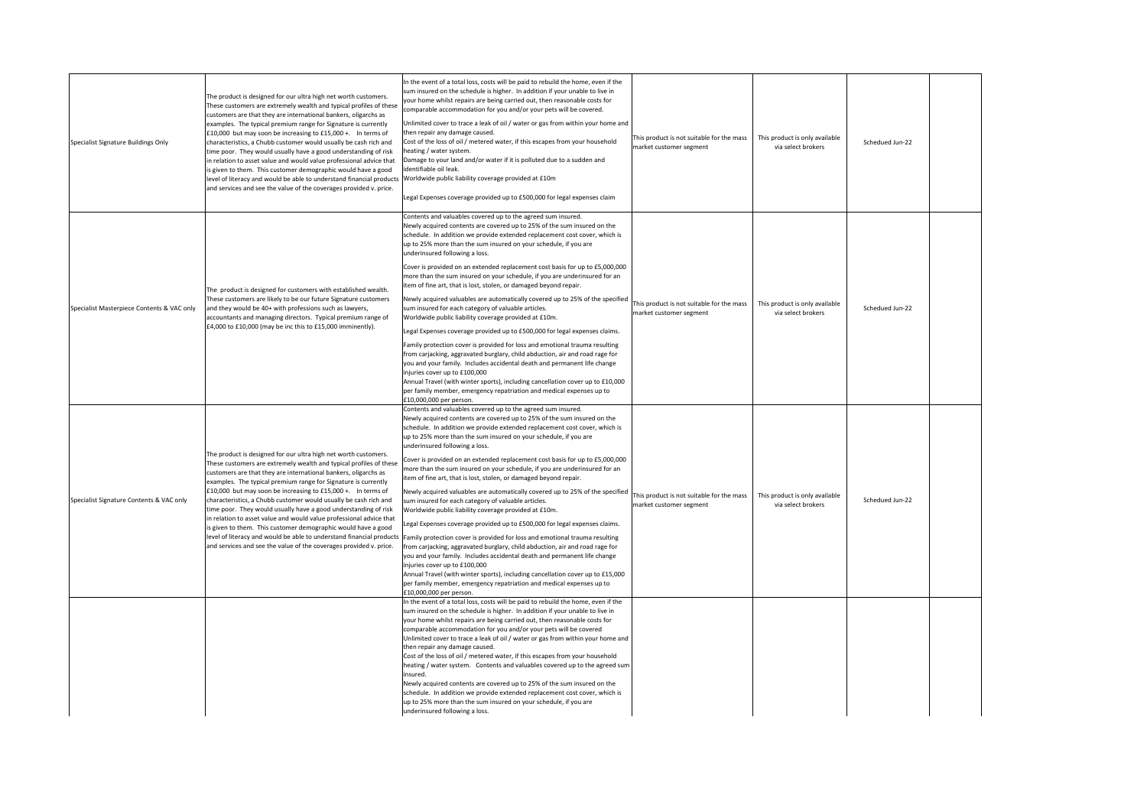| Specialist Signature Buildings Only        | The product is designed for our ultra high net worth customers.<br>These customers are extremely wealth and typical profiles of these<br>customers are that they are international bankers, oligarchs as<br>examples. The typical premium range for Signature is currently<br>£10,000 but may soon be increasing to £15,000 +. In terms of<br>characteristics, a Chubb customer would usually be cash rich and<br>time poor. They would usually have a good understanding of risk<br>in relation to asset value and would value professional advice that<br>is given to them. This customer demographic would have a good<br>level of literacy and would be able to understand financial products<br>and services and see the value of the coverages provided v. price. | In the event of a total loss, costs will be paid to rebuild the home, even if the<br>sum insured on the schedule is higher. In addition if your unable to live in<br>your home whilst repairs are being carried out, then reasonable costs for<br>comparable accommodation for you and/or your pets will be covered.<br>Unlimited cover to trace a leak of oil / water or gas from within your home and<br>then repair any damage caused.<br>Cost of the loss of oil / metered water, if this escapes from your household<br>heating / water system<br>Damage to your land and/or water if it is polluted due to a sudden and<br>identifiable oil leak.<br>Worldwide public liability coverage provided at £10m<br>Legal Expenses coverage provided up to £500,000 for legal expenses claim                                                                                                                                                                                                                                                                                                                                                                                                                                                                                                                    | This product is not suitable for the mass<br>market customer segment | This product is only available<br>via select brokers | Schedued Jun-22 |  |
|--------------------------------------------|-------------------------------------------------------------------------------------------------------------------------------------------------------------------------------------------------------------------------------------------------------------------------------------------------------------------------------------------------------------------------------------------------------------------------------------------------------------------------------------------------------------------------------------------------------------------------------------------------------------------------------------------------------------------------------------------------------------------------------------------------------------------------|----------------------------------------------------------------------------------------------------------------------------------------------------------------------------------------------------------------------------------------------------------------------------------------------------------------------------------------------------------------------------------------------------------------------------------------------------------------------------------------------------------------------------------------------------------------------------------------------------------------------------------------------------------------------------------------------------------------------------------------------------------------------------------------------------------------------------------------------------------------------------------------------------------------------------------------------------------------------------------------------------------------------------------------------------------------------------------------------------------------------------------------------------------------------------------------------------------------------------------------------------------------------------------------------------------------|----------------------------------------------------------------------|------------------------------------------------------|-----------------|--|
| Specialist Masterpiece Contents & VAC only | The product is designed for customers with established wealth.<br>These customers are likely to be our future Signature customers<br>and they would be 40+ with professions such as lawyers,<br>accountants and managing directors. Typical premium range of<br>£4,000 to £10,000 (may be inc this to £15,000 imminently).                                                                                                                                                                                                                                                                                                                                                                                                                                              | Contents and valuables covered up to the agreed sum insured.<br>Newly acquired contents are covered up to 25% of the sum insured on the<br>schedule. In addition we provide extended replacement cost cover, which is<br>up to 25% more than the sum insured on your schedule, if you are<br>underinsured following a loss.<br>Cover is provided on an extended replacement cost basis for up to £5,000,000<br>more than the sum insured on your schedule, if you are underinsured for an<br>item of fine art, that is lost, stolen, or damaged beyond repair.<br>Newly acquired valuables are automatically covered up to 25% of the specified<br>sum insured for each category of valuable articles.<br>Worldwide public liability coverage provided at £10m.<br>Legal Expenses coverage provided up to £500,000 for legal expenses claims.<br>Family protection cover is provided for loss and emotional trauma resulting<br>from carjacking, aggravated burglary, child abduction, air and road rage for<br>you and your family. Includes accidental death and permanent life change<br>injuries cover up to £100,000<br>Annual Travel (with winter sports), including cancellation cover up to £10,000<br>per family member, emergency repatriation and medical expenses up to<br>£10,000,000 per person. | This product is not suitable for the mass<br>market customer segment | This product is only available<br>via select brokers | Schedued Jun-22 |  |
| Specialist Signature Contents & VAC only   | The product is designed for our ultra high net worth customers.<br>These customers are extremely wealth and typical profiles of these<br>customers are that they are international bankers, oligarchs as<br>examples. The typical premium range for Signature is currently<br>£10,000 but may soon be increasing to £15,000 +. In terms of<br>characteristics, a Chubb customer would usually be cash rich and<br>time poor. They would usually have a good understanding of risk<br>in relation to asset value and would value professional advice that<br>is given to them. This customer demographic would have a good<br>level of literacy and would be able to understand financial products<br>and services and see the value of the coverages provided v. price. | Contents and valuables covered up to the agreed sum insured.<br>Newly acquired contents are covered up to 25% of the sum insured on the<br>schedule. In addition we provide extended replacement cost cover, which is<br>up to 25% more than the sum insured on your schedule, if you are<br>underinsured following a loss.<br>Cover is provided on an extended replacement cost basis for up to £5,000,000<br>more than the sum insured on your schedule, if you are underinsured for an<br>item of fine art, that is lost, stolen, or damaged beyond repair.<br>Newly acquired valuables are automatically covered up to 25% of the specified<br>sum insured for each category of valuable articles.<br>Worldwide public liability coverage provided at £10m.<br>Legal Expenses coverage provided up to £500,000 for legal expenses claims.<br>Family protection cover is provided for loss and emotional trauma resulting<br>from carjacking, aggravated burglary, child abduction, air and road rage for<br>you and your family. Includes accidental death and permanent life change<br>injuries cover up to £100,000<br>Annual Travel (with winter sports), including cancellation cover up to £15,000<br>per family member, emergency repatriation and medical expenses up to<br>£10,000,000 per person. | This product is not suitable for the mass<br>market customer segment | This product is only available<br>via select brokers | Schedued Jun-22 |  |
|                                            |                                                                                                                                                                                                                                                                                                                                                                                                                                                                                                                                                                                                                                                                                                                                                                         | In the event of a total loss, costs will be paid to rebuild the home, even if the<br>sum insured on the schedule is higher. In addition if your unable to live in<br>your home whilst repairs are being carried out, then reasonable costs for<br>comparable accommodation for you and/or your pets will be covered<br>Unlimited cover to trace a leak of oil / water or gas from within your home and<br>then repair any damage caused.<br>Cost of the loss of oil / metered water, if this escapes from your household<br>heating / water system. Contents and valuables covered up to the agreed sum<br>insured.<br>Newly acquired contents are covered up to 25% of the sum insured on the<br>schedule. In addition we provide extended replacement cost cover, which is<br>up to 25% more than the sum insured on your schedule, if you are<br>underinsured following a loss.                                                                                                                                                                                                                                                                                                                                                                                                                             |                                                                      |                                                      |                 |  |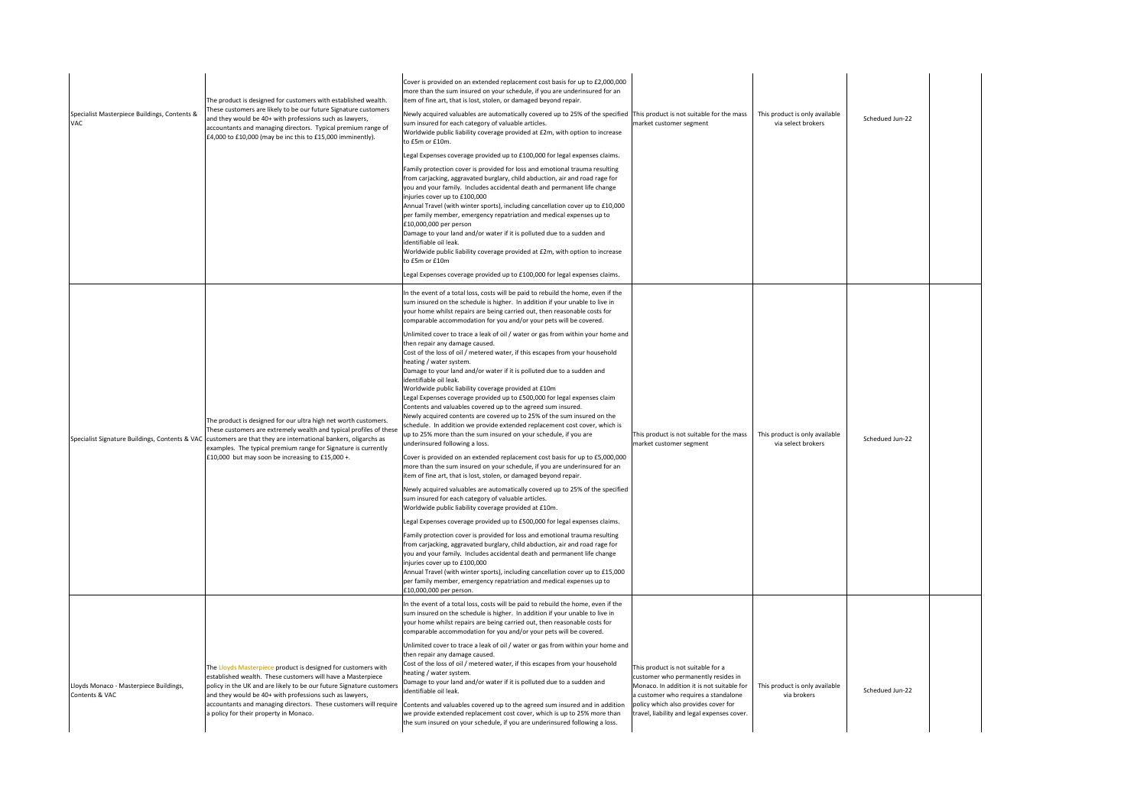| Specialist Masterpiece Buildings, Contents &<br>VAC.     | The product is designed for customers with established wealth.<br>These customers are likely to be our future Signature customers<br>and they would be 40+ with professions such as lawyers,<br>accountants and managing directors. Typical premium range of<br>£4,000 to £10,000 (may be inc this to £15,000 imminently).                                                    | Cover is provided on an extended replacement cost basis for up to £2,000,000<br>more than the sum insured on your schedule, if you are underinsured for an<br>item of fine art, that is lost, stolen, or damaged beyond repair.<br>Newly acquired valuables are automatically covered up to 25% of the specified<br>sum insured for each category of valuable articles.<br>Worldwide public liability coverage provided at £2m, with option to increase<br>to £5m or £10m.<br>Legal Expenses coverage provided up to £100,000 for legal expenses claims.<br>Family protection cover is provided for loss and emotional trauma resulting<br>from carjacking, aggravated burglary, child abduction, air and road rage for<br>you and your family. Includes accidental death and permanent life change<br>injuries cover up to £100,000<br>Annual Travel (with winter sports), including cancellation cover up to £10,000<br>per family member, emergency repatriation and medical expenses up to<br>£10,000,000 per person<br>Damage to your land and/or water if it is polluted due to a sudden and<br>identifiable oil leak.<br>Worldwide public liability coverage provided at £2m, with option to increase<br>to £5m or £10m<br>Legal Expenses coverage provided up to £100,000 for legal expenses claims.                                                                                                                                                                                                                                                                                                                                                                                                                                                                                                                                                                                                                                                                                                                                                                                                   | This product is not suitable for the mass<br>market customer segment                                                                                                                                                                                   | This product is only available<br>via select brokers | Schedued Jun-22 |  |
|----------------------------------------------------------|-------------------------------------------------------------------------------------------------------------------------------------------------------------------------------------------------------------------------------------------------------------------------------------------------------------------------------------------------------------------------------|----------------------------------------------------------------------------------------------------------------------------------------------------------------------------------------------------------------------------------------------------------------------------------------------------------------------------------------------------------------------------------------------------------------------------------------------------------------------------------------------------------------------------------------------------------------------------------------------------------------------------------------------------------------------------------------------------------------------------------------------------------------------------------------------------------------------------------------------------------------------------------------------------------------------------------------------------------------------------------------------------------------------------------------------------------------------------------------------------------------------------------------------------------------------------------------------------------------------------------------------------------------------------------------------------------------------------------------------------------------------------------------------------------------------------------------------------------------------------------------------------------------------------------------------------------------------------------------------------------------------------------------------------------------------------------------------------------------------------------------------------------------------------------------------------------------------------------------------------------------------------------------------------------------------------------------------------------------------------------------------------------------------------------------------------------------------------------------------------------------|--------------------------------------------------------------------------------------------------------------------------------------------------------------------------------------------------------------------------------------------------------|------------------------------------------------------|-----------------|--|
|                                                          | The product is designed for our ultra high net worth customers.<br>These customers are extremely wealth and typical profiles of these<br>Specialist Signature Buildings, Contents & VAC customers are that they are international bankers, oligarchs as<br>examples. The typical premium range for Signature is currently<br>£10,000 but may soon be increasing to £15,000 +. | In the event of a total loss, costs will be paid to rebuild the home, even if the<br>sum insured on the schedule is higher. In addition if your unable to live in<br>your home whilst repairs are being carried out, then reasonable costs for<br>comparable accommodation for you and/or your pets will be covered.<br>Unlimited cover to trace a leak of oil / water or gas from within your home and<br>then repair any damage caused.<br>Cost of the loss of oil / metered water, if this escapes from your household<br>heating / water system.<br>Damage to your land and/or water if it is polluted due to a sudden and<br>identifiable oil leak.<br>Worldwide public liability coverage provided at £10m<br>Legal Expenses coverage provided up to £500,000 for legal expenses claim<br>Contents and valuables covered up to the agreed sum insured.<br>Newly acquired contents are covered up to 25% of the sum insured on the<br>schedule. In addition we provide extended replacement cost cover, which is<br>up to 25% more than the sum insured on your schedule, if you are<br>underinsured following a loss.<br>Cover is provided on an extended replacement cost basis for up to £5,000,000<br>more than the sum insured on your schedule, if you are underinsured for an<br>item of fine art, that is lost, stolen, or damaged beyond repair.<br>Newly acquired valuables are automatically covered up to 25% of the specified<br>sum insured for each category of valuable articles.<br>Worldwide public liability coverage provided at £10m.<br>Legal Expenses coverage provided up to £500,000 for legal expenses claims.<br>Family protection cover is provided for loss and emotional trauma resulting<br>from carjacking, aggravated burglary, child abduction, air and road rage for<br>you and your family. Includes accidental death and permanent life change<br>injuries cover up to £100,000<br>Annual Travel (with winter sports), including cancellation cover up to £15,000<br>per family member, emergency repatriation and medical expenses up to<br>£10,000,000 per person. | This product is not suitable for the mass<br>market customer segment                                                                                                                                                                                   | This product is only available<br>via select brokers | Schedued Jun-22 |  |
| Lloyds Monaco - Masterpiece Buildings,<br>Contents & VAC | The Lloyds Masterpiece product is designed for customers with<br>established wealth. These customers will have a Masterpiece<br>policy in the UK and are likely to be our future Signature customers<br>and they would be 40+ with professions such as lawyers,<br>accountants and managing directors. These customers will require<br>a policy for their property in Monaco. | In the event of a total loss, costs will be paid to rebuild the home, even if the<br>sum insured on the schedule is higher. In addition if your unable to live in<br>your home whilst repairs are being carried out, then reasonable costs for<br>comparable accommodation for you and/or your pets will be covered.<br>Unlimited cover to trace a leak of oil / water or gas from within your home and<br>then repair any damage caused.<br>Cost of the loss of oil / metered water, if this escapes from your household<br>heating / water system.<br>Damage to your land and/or water if it is polluted due to a sudden and<br>identifiable oil leak.<br>Contents and valuables covered up to the agreed sum insured and in addition<br>we provide extended replacement cost cover, which is up to 25% more than<br>the sum insured on your schedule, if you are underinsured following a loss.                                                                                                                                                                                                                                                                                                                                                                                                                                                                                                                                                                                                                                                                                                                                                                                                                                                                                                                                                                                                                                                                                                                                                                                                             | This product is not suitable for a<br>customer who permanently resides in<br>Monaco. In addition it is not suitable for<br>a customer who requires a standalone<br>policy which also provides cover for<br>travel, liability and legal expenses cover. | This product is only available<br>via brokers        | Schedued Jun-22 |  |